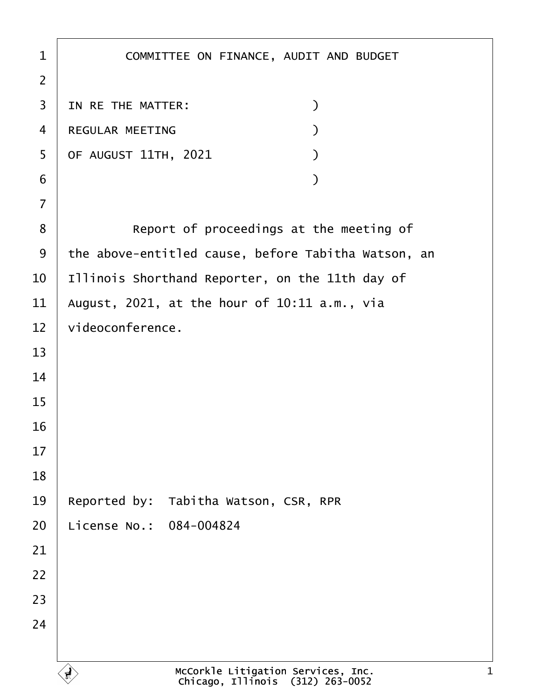| $\mathbf 1$    | COMMITTEE ON FINANCE, AUDIT AND BUDGET                                      |
|----------------|-----------------------------------------------------------------------------|
| $\overline{2}$ |                                                                             |
| 3              | $\mathcal{C}$<br>IN RE THE MATTER:                                          |
| 4              | REGULAR MEETING<br>$\mathcal{L}$                                            |
| 5              | OF AUGUST 11TH, 2021<br>$\mathcal{L}$                                       |
| 6              | $\mathcal{L}$                                                               |
| $\overline{7}$ |                                                                             |
| 8              | Report of proceedings at the meeting of                                     |
| 9              | the above-entitled cause, before Tabitha Watson, an                         |
| 10             | Illinois Shorthand Reporter, on the 11th day of                             |
| 11             | August, $2021$ , at the hour of $10:11$ a.m., via                           |
| 12             | videoconference.                                                            |
| 13             |                                                                             |
| 14             |                                                                             |
| 15             |                                                                             |
| 16             |                                                                             |
| 17             |                                                                             |
| 18             |                                                                             |
| 19             | Reported by:<br>Tabitha Watson, CSR, RPR                                    |
| 20             | License No.: 084-004824                                                     |
| 21             |                                                                             |
| 22             |                                                                             |
| 23             |                                                                             |
| 24             |                                                                             |
|                |                                                                             |
|                | McCorkle Litigation Services, Inc.<br>Chicago, Illinois<br>$(312)$ 263-0052 |

 $\Gamma$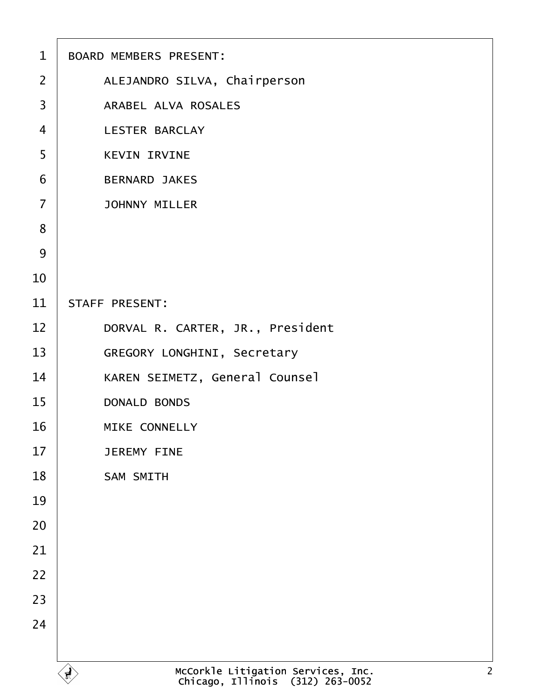| $\mathbf{1}$   | BOARD MEMBERS PRESENT:                                                                   |
|----------------|------------------------------------------------------------------------------------------|
| $\overline{2}$ | ALEJANDRO SILVA, Chairperson                                                             |
| 3              | ARABEL ALVA ROSALES                                                                      |
| $\overline{4}$ | <b>LESTER BARCLAY</b>                                                                    |
| 5              | <b>KEVIN IRVINE</b>                                                                      |
| 6              | <b>BERNARD JAKES</b>                                                                     |
| $\overline{7}$ | <b>JOHNNY MILLER</b>                                                                     |
| 8              |                                                                                          |
| 9              |                                                                                          |
| 10             |                                                                                          |
| 11             | STAFF PRESENT:                                                                           |
| 12             | DORVAL R. CARTER, JR., President                                                         |
| 13             | GREGORY LONGHINI, Secretary                                                              |
| 14             | KAREN SEIMETZ, General Counsel                                                           |
| 15             | <b>DONALD BONDS</b>                                                                      |
| 16             | MIKE CONNELLY                                                                            |
| 17             | <b>JEREMY FINE</b>                                                                       |
| 18             | SAM SMITH                                                                                |
| 19             |                                                                                          |
| 20             |                                                                                          |
| 21             |                                                                                          |
| 22             |                                                                                          |
| 23             |                                                                                          |
| 24             |                                                                                          |
|                |                                                                                          |
|                | McCorkle Litigation Services, Inc.<br>Chicago, Illinois (312) 263-0052<br>$\overline{2}$ |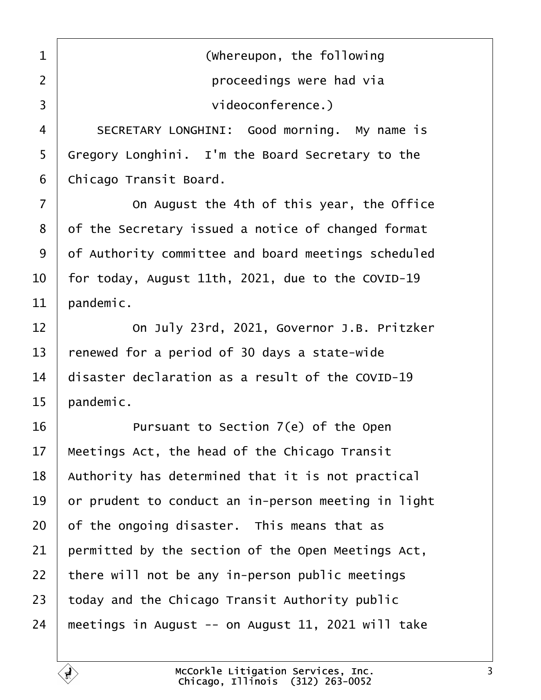<span id="page-2-0"></span>1 | **COLOREGIST (Whereupon, the following** ·2· · · · · · · · · · · ·proceedings were had via ·3· · · · · · · · · · · ·videoconference.)

4 SECRETARY LONGHINI: Good morning. My name is Gregory Longhini. I'm the Board Secretary to the 6 | Chicago Transit Board.

**1** 0n August the 4th of this year, the Office 8 of the Secretary issued a notice of changed format 9 of Authority committee and board meetings scheduled  $\vert$  for today, August 11th, 2021, due to the COVID-19 | pandemic.

**12 12 12 12 00 July 23rd, 2021, Governor J.B. Pritzker**  renewed for a period of 30 days a state-wide  $\parallel$  disaster declaration as a result of the COVID-19 | pandemic.

**If Allect** Pursuant to Section 7(e) of the Open | Meetings Act, the head of the Chicago Transit | Authority has determined that it is not practical  $\vert$  or prudent to conduct an in-person meeting in light of the ongoing disaster. This means that as permitted by the section of the Open Meetings Act, there will not be any in-person public meetings today and the Chicago Transit Authority public 24 | meetings in August  $-$  on August 11, 2021 will take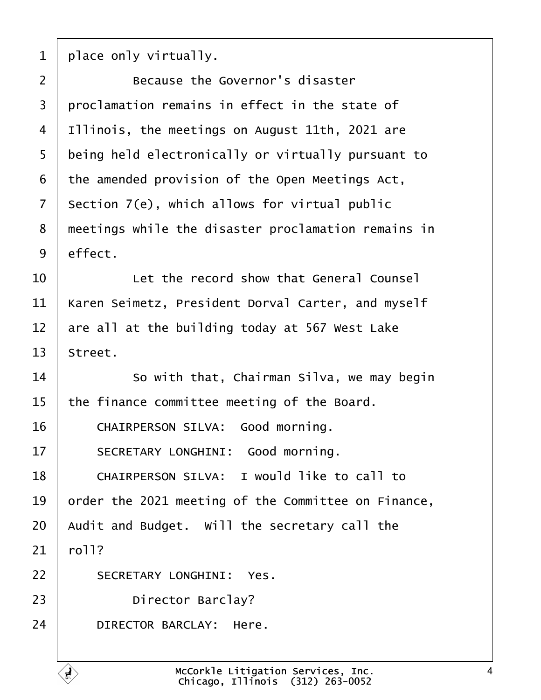<span id="page-3-0"></span> $1$  | place only virtually.

**Because the Governor's disaster**   $\mid$  proclamation remains in effect in the state of | Illinois, the meetings on August 11th, 2021 are 5 being held electronically or virtually pursuant to the amended provision of the Open Meetings Act, section  $7(e)$ , which allows for virtual public 8 meetings while the disaster proclamation remains in  $9$  effect.

 $10<sup>1</sup>$  is the record show that General Counsel  $11$   $\vert$  Karen Seimetz, President Dorval Carter, and myself  $12$   $\vert$  are all at the building today at 567 West Lake  $13$  Street.

14 **14** So with that, Chairman Silva, we may begin  $15$  the finance committee meeting of the Board.

16 CHAIRPERSON SILVA: Good morning.

17 SECRETARY LONGHINI: Good morning.

18 CHAIRPERSON SILVA: I would like to call to 19  $\vert$  order the 2021 meeting of the Committee on Finance,  $20$  Audit and Budget. Will the secretary call the  $21 \mid$  roll?

22 SECRETARY LONGHINI: Yes.

23 **Director Barclay?** 

24 DIRECTOR BARCLAY: Here.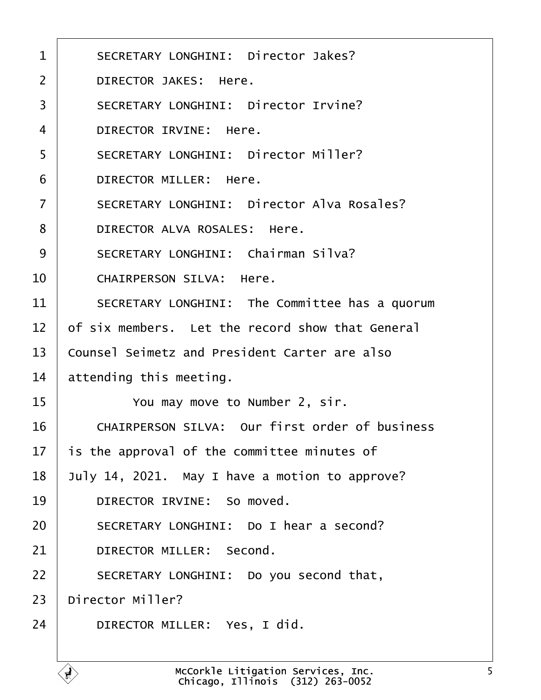<span id="page-4-0"></span>

| $\mathbf 1$    | SECRETARY LONGHINI: Director Jakes?              |
|----------------|--------------------------------------------------|
| $\overline{2}$ | DIRECTOR JAKES: Here.                            |
| 3              | SECRETARY LONGHINI: Director Irvine?             |
| $\overline{4}$ | DIRECTOR IRVINE: Here.                           |
| 5              | SECRETARY LONGHINI: Director Miller?             |
| 6              | DIRECTOR MILLER: Here.                           |
| $\overline{7}$ | SECRETARY LONGHINI: Director Alva Rosales?       |
| 8              | DIRECTOR ALVA ROSALES: Here.                     |
| 9              | SECRETARY LONGHINI: Chairman Silva?              |
| 10             | CHAIRPERSON SILVA: Here.                         |
| 11             | SECRETARY LONGHINI: The Committee has a quorum   |
| 12             | of six members. Let the record show that General |
| 13             | Counsel Seimetz and President Carter are also    |
| 14             | attending this meeting.                          |
| 15             | You may move to Number 2, sir.                   |
| 16             | CHAIRPERSON SILVA: Our first order of business   |
| 17             | is the approval of the committee minutes of      |
| 18             | July 14, 2021. May I have a motion to approve?   |
| 19             | DIRECTOR IRVINE: So moved.                       |
| 20             | SECRETARY LONGHINI: Do I hear a second?          |
| 21             | DIRECTOR MILLER: Second.                         |
| 22             | SECRETARY LONGHINI: Do you second that,          |
| 23             | Director Miller?                                 |
| 24             | DIRECTOR MILLER: Yes, I did.                     |
|                |                                                  |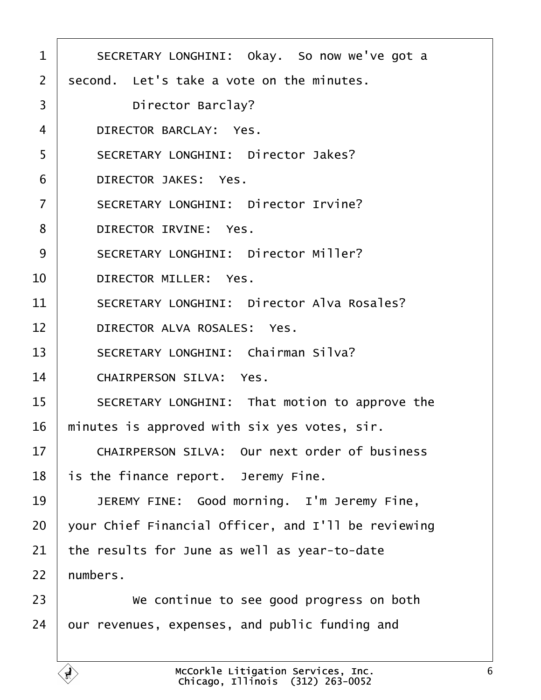<span id="page-5-0"></span>

| $\mathbf 1$    | SECRETARY LONGHINI: Okay. So now we've got a        |
|----------------|-----------------------------------------------------|
| $\overline{2}$ | second. Let's take a vote on the minutes.           |
| 3              | Director Barclay?                                   |
| 4              | DIRECTOR BARCLAY: Yes.                              |
| 5              | SECRETARY LONGHINI: Director Jakes?                 |
| 6              | DIRECTOR JAKES: Yes.                                |
| $\overline{7}$ | SECRETARY LONGHINI: Director Irvine?                |
| 8              | DIRECTOR IRVINE: Yes.                               |
| 9              | SECRETARY LONGHINI: Director Miller?                |
| 10             | DIRECTOR MILLER: Yes.                               |
| 11             | SECRETARY LONGHINI: Director Alva Rosales?          |
| 12             | DIRECTOR ALVA ROSALES: Yes.                         |
| 13             | SECRETARY LONGHINI: Chairman Silva?                 |
| 14             | CHAIRPERSON SILVA: Yes.                             |
| 15             | SECRETARY LONGHINI: That motion to approve the      |
| 16             | minutes is approved with six yes votes, sir.        |
| 17             | CHAIRPERSON SILVA: Our next order of business       |
| 18             | is the finance report. Jeremy Fine.                 |
| 19             | JEREMY FINE: Good morning. I'm Jeremy Fine,         |
| 20             | your Chief Financial Officer, and I'll be reviewing |
| 21             | the results for June as well as year-to-date        |
| 22             | numbers.                                            |
| 23             | We continue to see good progress on both            |
| 24             | our revenues, expenses, and public funding and      |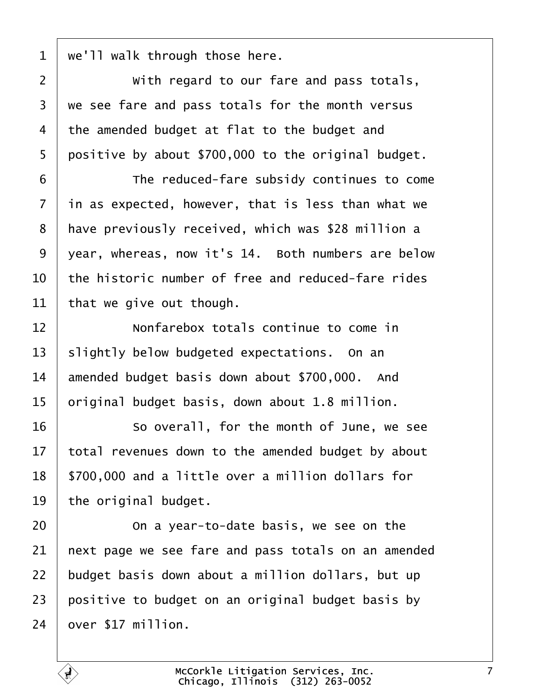<span id="page-6-0"></span> $1 |$  we'll walk through those here.

**With regard to our fare and pass totals**,  $\mid$  we see fare and pass totals for the month versus the amended budget at flat to the budget and | positive by about \$700,000 to the original budget.

**The reduced-fare subsidy continues to come**  in as expected, however, that is less than what we 8 | have previously received, which was \$28 million a 9 | year, whereas, now it's 14. Both numbers are below  $\vert$  the historic number of free and reduced-fare rides that we give out though.

12· · · · · · Nonfarebox totals continue to come in slightly below budgeted expectations. On an 14 amended budget basis down about \$700,000. And original budget basis, down about 1.8 million.

16 So overall, for the month of June, we see total revenues down to the amended budget by about | \$700,000 and a little over a million dollars for the original budget.

**1 20** On a year-to-date basis, we see on the  $\vert$  next page we see fare and pass totals on an amended budget basis down about a million dollars, but up  $\vert$  positive to budget on an original budget basis by over \$17 million.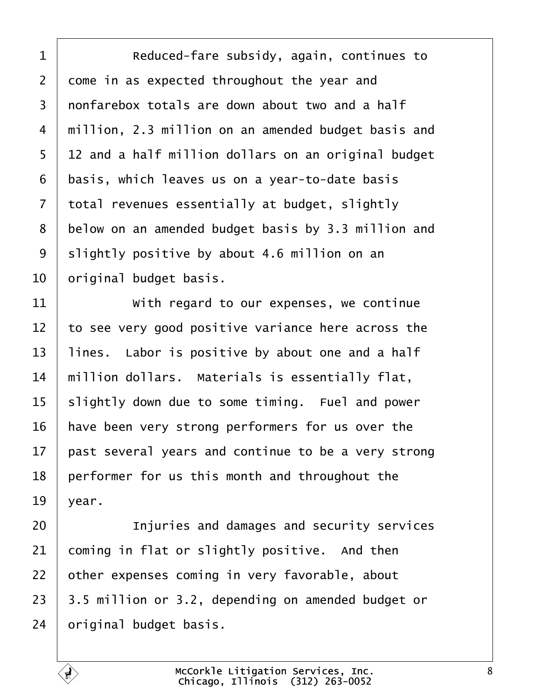<span id="page-7-0"></span>1 Reduced-fare subsidy, again, continues to come in as expected throughout the year and 3 | nonfarebox totals are down about two and a half 4 | million, 2.3 million on an amended budget basis and 5 | 12 and a half million dollars on an original budget basis, which leaves us on a year-to-date basis total revenues essentially at budget, slightly 8 below on an amended budget basis by 3.3 million and slightly positive by about 4.6 million on an  $\vert$  original budget basis.

  $\parallel$  with regard to our expenses, we continue to see very good positive variance here across the 13 | lines. Labor is positive by about one and a half  $\parallel$  million dollars. Materials is essentially flat, slightly down due to some timing. Fuel and power | have been very strong performers for us over the past several years and continue to be a very strong performer for us this month and throughout the vear.

**Injuries and damages and security services**  coming in flat or slightly positive. And then other expenses coming in very favorable, about | 3.5 million or 3.2, depending on amended budget or original budget basis.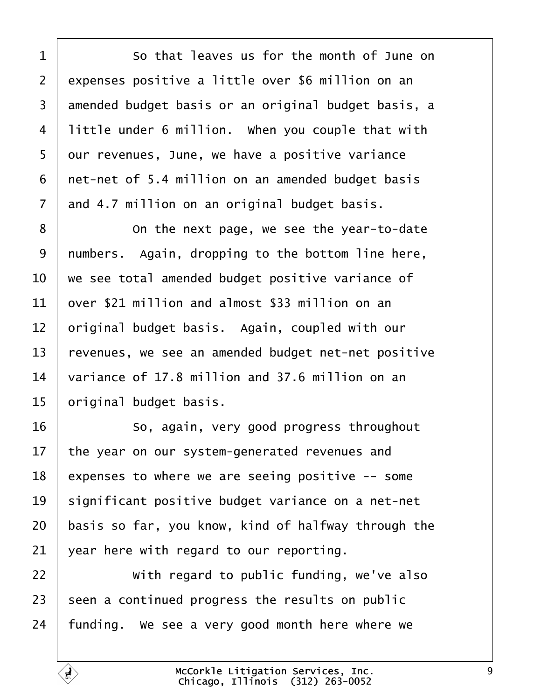<span id="page-8-0"></span>**So that leaves us for the month of June on** 2 expenses positive a little over \$6 million on an 3 amended budget basis or an original budget basis, a | little under 6 million. When you couple that with 5 | our revenues, June, we have a positive variance | net-net of 5.4 million on an amended budget basis and 4.7 million on an original budget basis.

8 | Conthe next page, we see the year-to-date | numbers. Again, dropping to the bottom line here,  $\vert$  we see total amended budget positive variance of  $\pm$  over \$21 million and almost \$33 million on an  $\vert$  original budget basis. Again, coupled with our 13 revenues, we see an amended budget net-net positive  $\vert$  variance of 17.8 million and 37.6 million on an | original budget basis.

**8** · · · · So, again, very good progress throughout the year on our system-generated revenues and expenses to where we are seeing positive  $-$  some significant positive budget variance on a net-net basis so far, you know, kind of halfway through the vear here with regard to our reporting.

22 | With regard to public funding, we've also seen a continued progress the results on public funding. We see a very good month here where we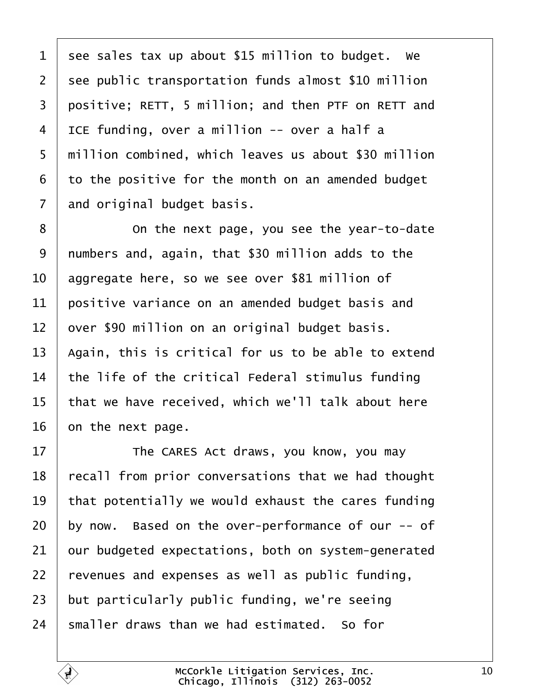<span id="page-9-0"></span> see sales tax up about \$15 million to budget. We see public transportation funds almost \$10 million 3 | positive; RETT, 5 million; and then PTF on RETT and | ICE funding, over a million -- over a half a 5 | million combined, which leaves us about \$30 million to the positive for the month on an amended budget and original budget basis.

8 | Conthe next page, you see the year-to-date | numbers and, again, that \$30 million adds to the 10 aggregate here, so we see over \$81 million of positive variance on an amended budget basis and over \$90 million on an original budget basis.  $\vert$  Again, this is critical for us to be able to extend  $\vert$  the life of the critical Federal stimulus funding  $\vert$  that we have received, which we'll talk about here on the next page.

17 The CARES Act draws, you know, you may 18 | recall from prior conversations that we had thought  $\parallel$  that potentially we would exhaust the cares funding | by now. Based on the over-performance of our -- of our budgeted expectations, both on system-generated revenues and expenses as well as public funding, but particularly public funding, we're seeing smaller draws than we had estimated. So for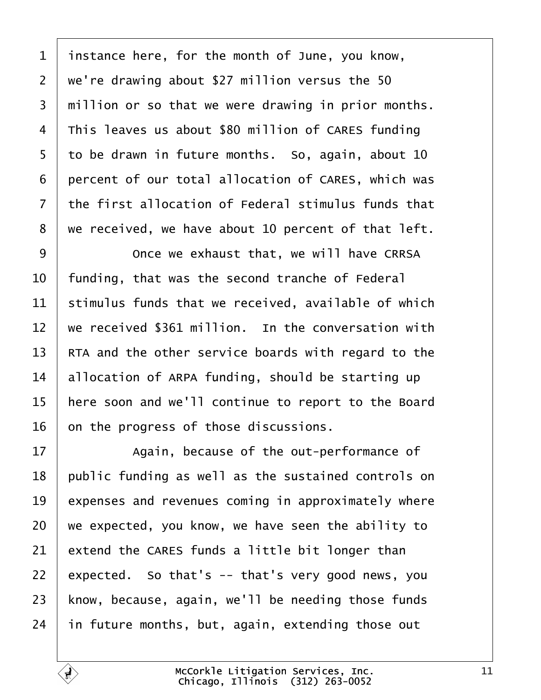<span id="page-10-0"></span> instance here, for the month of June, you know, 2 | we're drawing about \$27 million versus the 50  $\mid$  million or so that we were drawing in prior months. This leaves us about \$80 million of CARES funding to be drawn in future months. So, again, about 10 6 percent of our total allocation of CARES, which was  $\pm$  the first allocation of Federal stimulus funds that we received, we have about 10 percent of that left.

9 | Once we exhaust that, we will have CRRSA  $\vert$  funding, that was the second tranche of Federal stimulus funds that we received, available of which  $\parallel$  we received \$361 million. In the conversation with  $\parallel$  RTA and the other service boards with regard to the 14 allocation of ARPA funding, should be starting up 15 | here soon and we'll continue to report to the Board on the progress of those discussions.

**Again, because of the out-performance of**  public funding as well as the sustained controls on expenses and revenues coming in approximately where we expected, you know, we have seen the ability to extend the CARES funds a little bit longer than 22 expected. So that's  $-$  that's very good news, you know, because, again, we'll be needing those funds in future months, but, again, extending those out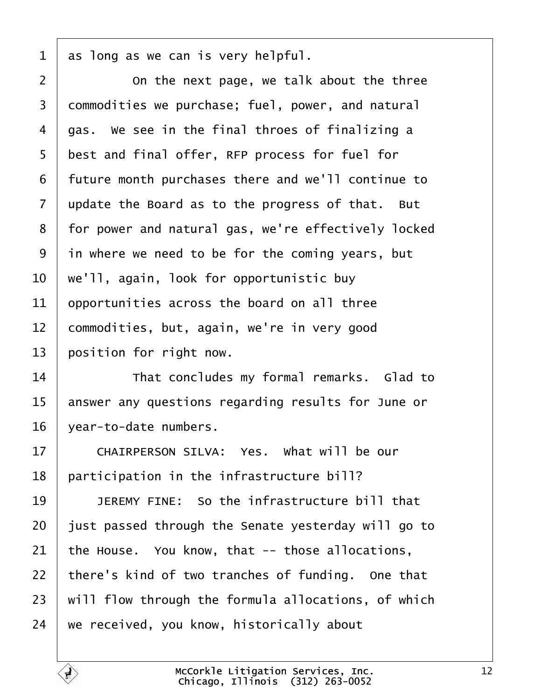<span id="page-11-0"></span> $1 \mid$  as long as we can is very helpful.

2 **1** 2 **00 CM ON** the next page, we talk about the three 3 | commodities we purchase; fuel, power, and natural  $4$   $\vert$  gas. We see in the final throes of finalizing a 5 best and final offer, RFP process for fuel for 6 | future month purchases there and we'll continue to  $7$  update the Board as to the progress of that. But 8 | for power and natural gas, we're effectively locked  $9$  in where we need to be for the coming years, but  $10$   $\vert$  we'll, again, look for opportunistic buy  $11$  | opportunities across the board on all three 12 commodities, but, again, we're in very good 13 | position for right now.

14 That concludes my formal remarks. Glad to 15 answer any questions regarding results for June or 16 | year-to-date numbers.

17 CHAIRPERSON SILVA: Yes. What will be our  $18$  | participation in the infrastructure bill?

**1 DEREMY FINE:** So the infrastructure bill that iust passed through the Senate yesterday will go to the House. You know, that -- those allocations, 22 | there's kind of two tranches of funding. One that  $\mid$  will flow through the formula allocations, of which  $\vert$  we received, you know, historically about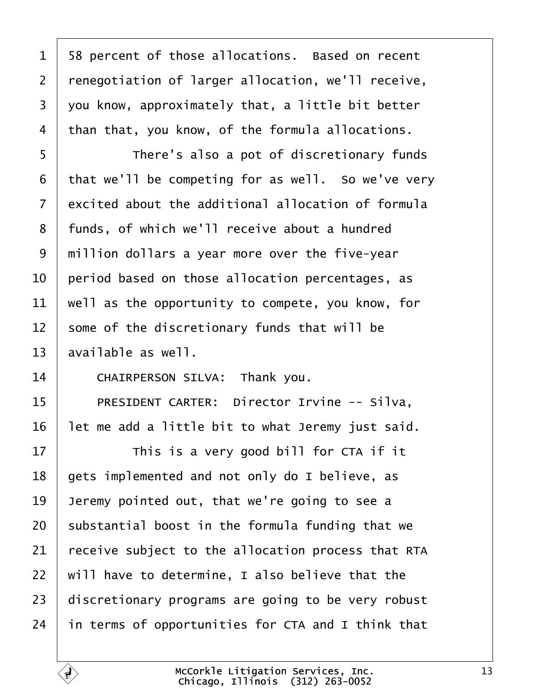<span id="page-12-0"></span>1 | 58 percent of those allocations. Based on recent 2 | renegotiation of larger allocation, we'll receive, you know, approximately that, a little bit better than that, you know, of the formula allocations. 5 | There's also a pot of discretionary funds that we'll be competing for as well. So we've very  $\pm$  excited about the additional allocation of formula 8 | funds, of which we'll receive about a hundred 9 | million dollars a year more over the five-year  $\vert$  period based on those allocation percentages, as | well as the opportunity to compete, you know, for some of the discretionary funds that will be available as well. 14 CHAIRPERSON SILVA: Thank you. 15 | PRESIDENT CARTER: Director Irvine -- Silva, | let me add a little bit to what Jeremy just said.  $\parallel$  This is a very good bill for CTA if it | gets implemented and not only do I believe, as | Jeremy pointed out, that we're going to see a substantial boost in the formula funding that we  $\vert$  receive subject to the allocation process that RTA  $\parallel$  will have to determine, I also believe that the discretionary programs are going to be very robust in terms of opportunities for CTA and I think that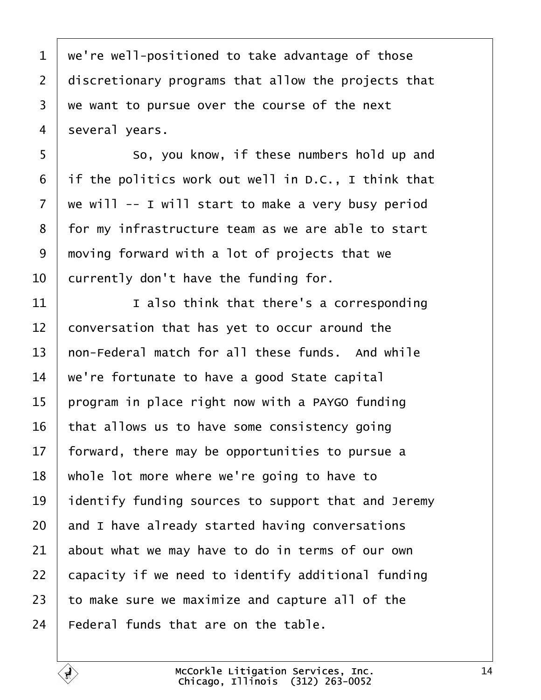<span id="page-13-0"></span> we're well-positioned to take advantage of those  $\mid$  discretionary programs that allow the projects that we want to pursue over the course of the next several years.

5 So, you know, if these numbers hold up and if the politics work out well in D.C., I think that we will -- I will start to make a very busy period 8 | for my infrastructure team as we are able to start  $\mid$  moving forward with a lot of projects that we currently don't have the funding for.

 $\vert$  1 also think that there's a corresponding conversation that has yet to occur around the  $\vert$  non-Federal match for all these funds. And while  $\parallel$  we're fortunate to have a good State capital | program in place right now with a PAYGO funding that allows us to have some consistency going | forward, there may be opportunities to pursue a whole lot more where we're going to have to identify funding sources to support that and Jeremy and I have already started having conversations about what we may have to do in terms of our own  $\vert$  capacity if we need to identify additional funding to make sure we maximize and capture all of the Federal funds that are on the table.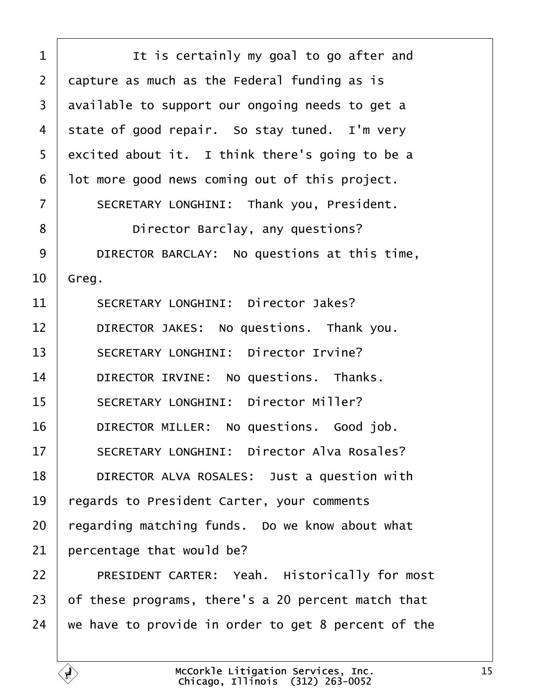<span id="page-14-0"></span>1 **I** is certainly my goal to go after and  $2$  capture as much as the Federal funding as is 3 | available to support our ongoing needs to get a 4 state of good repair. So stay tuned. I'm very  $5$  excited about it. I think there's going to be a  $6$  | lot more good news coming out of this project. 7 | SECRETARY LONGHINI: Thank you, President. 8 **b Director Barclay, any questions?** 9 DIRECTOR BARCLAY: No questions at this time,  $10$  Greg. 11 SECRETARY LONGHINI: Director Jakes? 12 DIRECTOR JAKES: No questions. Thank you. 13 SECRETARY LONGHINI: Director Irvine? 14 | DIRECTOR IRVINE: No questions. Thanks. 15 | SECRETARY LONGHINI: Director Miller? 16 | DIRECTOR MILLER: No questions. Good job. 17 SECRETARY LONGHINI: Director Alva Rosales? 18 **DIRECTOR ALVA ROSALES:** Just a question with 19 | regards to President Carter, your comments  $20$  regarding matching funds. Do we know about what  $21$  percentage that would be? 22 PRESIDENT CARTER: Yeah. Historically for most 23  $\vert$  of these programs, there's a 20 percent match that  $24$  we have to provide in order to get 8 percent of the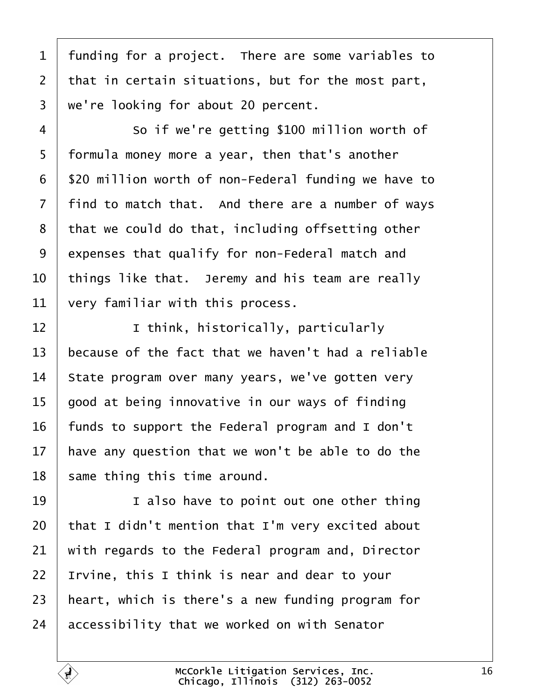<span id="page-15-0"></span> funding for a project. There are some variables to that in certain situations, but for the most part,  $3 \mid$  we're looking for about 20 percent.

4 So if we're getting \$100 million worth of 5 | formula money more a year, then that's another 6 | \$20 million worth of non-Federal funding we have to | find to match that. And there are a number of ways  $\vert$  that we could do that, including offsetting other 9 expenses that qualify for non-Federal match and  $\vert$  things like that. Jeremy and his team are really very familiar with this process.

12 | Ithink, historically, particularly because of the fact that we haven't had a reliable State program over many years, we've gotten very | good at being innovative in our ways of finding 16 | funds to support the Federal program and I don't | have any question that we won't be able to do the same thing this time around.

**I I** also have to point out one other thing | that I didn't mention that I'm very excited about with regards to the Federal program and, Director | Irvine, this I think is near and dear to your  $\vert$  heart, which is there's a new funding program for accessibility that we worked on with Senator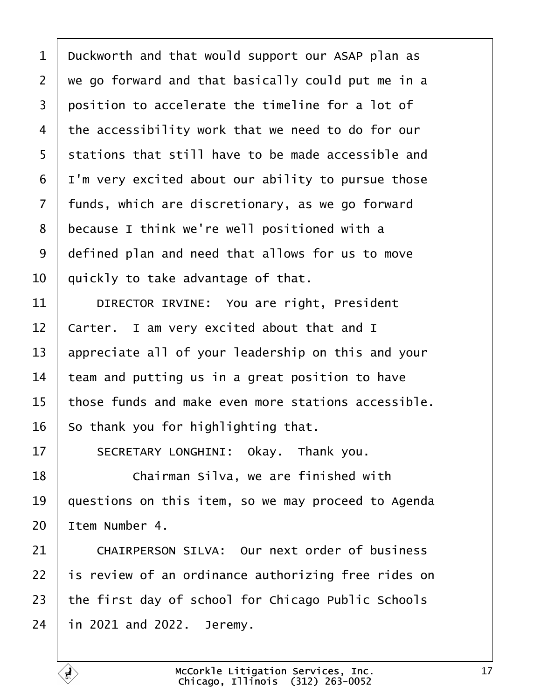<span id="page-16-0"></span> $1$  Duckworth and that would support our ASAP plan as  $2 \mid$  we go forward and that basically could put me in a  $3$  position to accelerate the timeline for a lot of  $4$  the accessibility work that we need to do for our 5 | stations that still have to be made accessible and  $6$  | I'm very excited about our ability to pursue those  $7$  | funds, which are discretionary, as we go forward 8 because I think we're well positioned with a 9 defined plan and need that allows for us to move  $10$   $\vert$  quickly to take advantage of that.

11 | DIRECTOR IRVINE: You are right, President  $12$   $\vert$  Carter. I am very excited about that and I 13 appreciate all of your leadership on this and your  $14$  team and putting us in a great position to have 15 | those funds and make even more stations accessible.  $16$  so thank you for highlighting that.

17 SECRETARY LONGHINI: Okay. Thank you.

18· · · · · · Chairman Silva, we are finished with  $19$  | questions on this item, so we may proceed to Agenda  $20$  Item Number 4.

21 CHAIRPERSON SILVA: Our next order of business  $\pm$  is review of an ordinance authorizing free rides on  $\vert$  the first day of school for Chicago Public Schools in 2021 and 2022. Jeremy.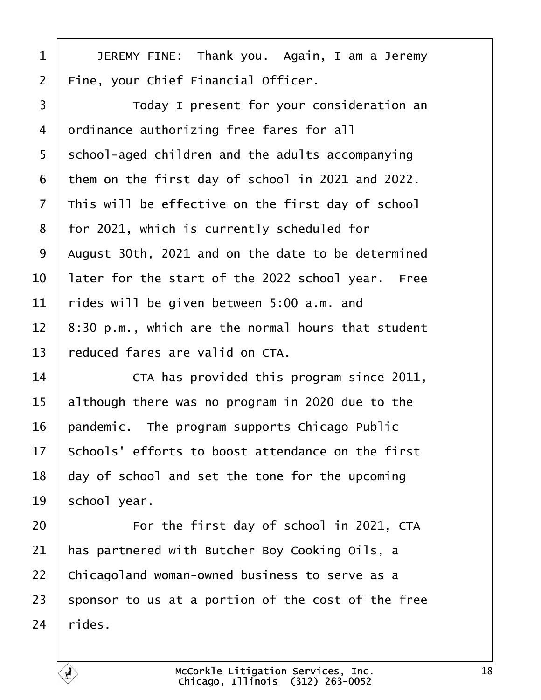<span id="page-17-0"></span>1 | JEREMY FINE: Thank you. Again, I am a Jeremy | Fine, your Chief Financial Officer.

3 Today I present for your consideration an 4 ordinance authorizing free fares for all 5 S chool-aged children and the adults accompanying them on the first day of school in 2021 and 2022.  $\vert$  This will be effective on the first day of school 8 | for 2021, which is currently scheduled for | August 30th, 2021 and on the date to be determined  $\vert$  later for the start of the 2022 school year. Free rides will be given between 5:00 a.m. and  $\parallel$  8:30 p.m., which are the normal hours that student reduced fares are valid on CTA.

14· · · · · · CTA has provided this program since 2011, although there was no program in 2020 due to the | pandemic. The program supports Chicago Public  $\vert$  Schools' efforts to boost attendance on the first day of school and set the tone for the upcoming school year.

**For the first day of school in 2021, CTA**  has partnered with Butcher Boy Cooking Oils, a 22 | Chicagoland woman-owned business to serve as a 23 | sponsor to us at a portion of the cost of the free rides.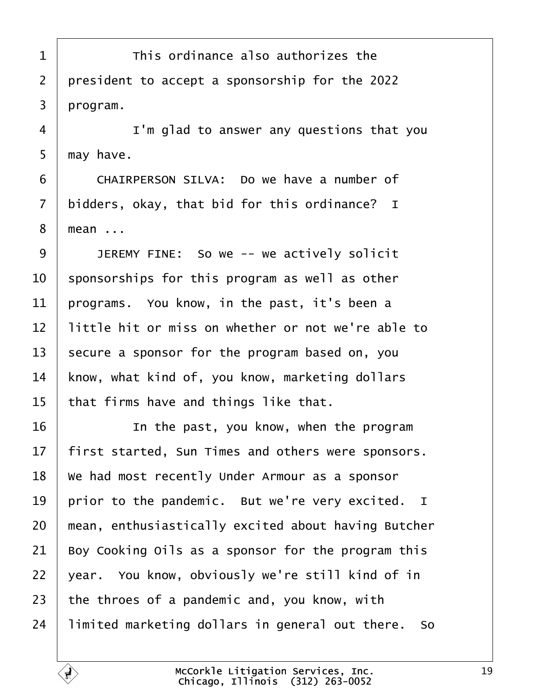<span id="page-18-0"></span>**This ordinance also authorizes the** 2 | president to accept a sponsorship for the 2022  $3 \mid program$ .

4 | I'm glad to answer any questions that you  $5 \mid$  may have.

6 CHAIRPERSON SILVA: Do we have a number of bidders, okay, that bid for this ordinance? I 8 | mean ...

9 JEREMY FINE: So we -- we actively solicit  $\parallel$  sponsorships for this program as well as other | programs. You know, in the past, it's been a  $\parallel$  little hit or miss on whether or not we're able to secure a sponsor for the program based on, you | know, what kind of, you know, marketing dollars | that firms have and things like that.

**IDED** 16 **16** In the past, you know, when the program  $\parallel$  first started, Sun Times and others were sponsors.  $\mid$  We had most recently Under Armour as a sponsor 19 | prior to the pandemic. But we're very excited. I  $\parallel$  mean, enthusiastically excited about having Butcher Boy Cooking Oils as a sponsor for the program this  $\vert$  year. You know, obviously we're still kind of in  $\vert$  the throes of a pandemic and, you know, with | limited marketing dollars in general out there. So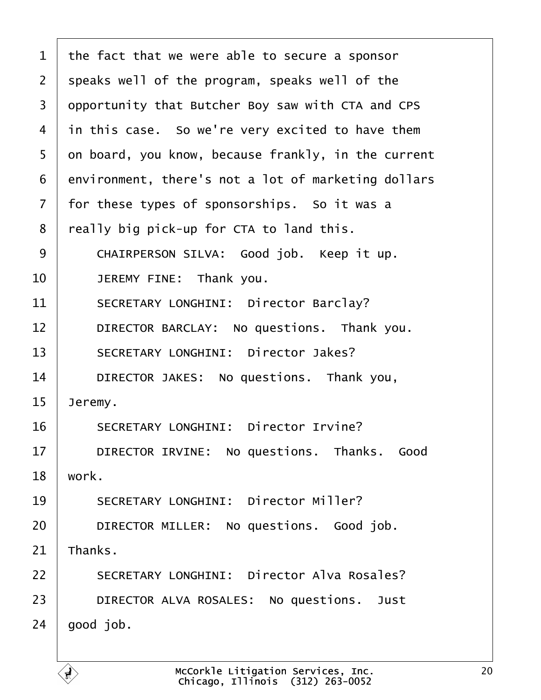<span id="page-19-0"></span>

| $\mathbf 1$    | the fact that we were able to secure a sponsor      |
|----------------|-----------------------------------------------------|
| $\overline{2}$ | speaks well of the program, speaks well of the      |
| 3              | opportunity that Butcher Boy saw with CTA and CPS   |
| 4              | in this case. So we're very excited to have them    |
| 5              | on board, you know, because frankly, in the current |
| 6              | environment, there's not a lot of marketing dollars |
| $\overline{7}$ | for these types of sponsorships. So it was a        |
| 8              | really big pick-up for CTA to land this.            |
| 9              | CHAIRPERSON SILVA: Good job. Keep it up.            |
| 10             | JEREMY FINE: Thank you.                             |
| 11             | SECRETARY LONGHINI: Director Barclay?               |
| 12             | DIRECTOR BARCLAY: No questions. Thank you.          |
| 13             | SECRETARY LONGHINI: Director Jakes?                 |
| 14             | DIRECTOR JAKES: No questions. Thank you,            |
| 15             | Jeremy.                                             |
| 16             | SECRETARY LONGHINI: Director Irvine?                |
| 17             | DIRECTOR IRVINE: No questions. Thanks. Good         |
| 18             | work.                                               |
| 19             | SECRETARY LONGHINI: Director Miller?                |
| 20             | DIRECTOR MILLER: No questions. Good job.            |
| 21             | Thanks.                                             |
| 22             | SECRETARY LONGHINI: Director Alva Rosales?          |
| 23             | DIRECTOR ALVA ROSALES: No questions. Just           |
| 24             | good job.                                           |
|                |                                                     |

 $\Gamma$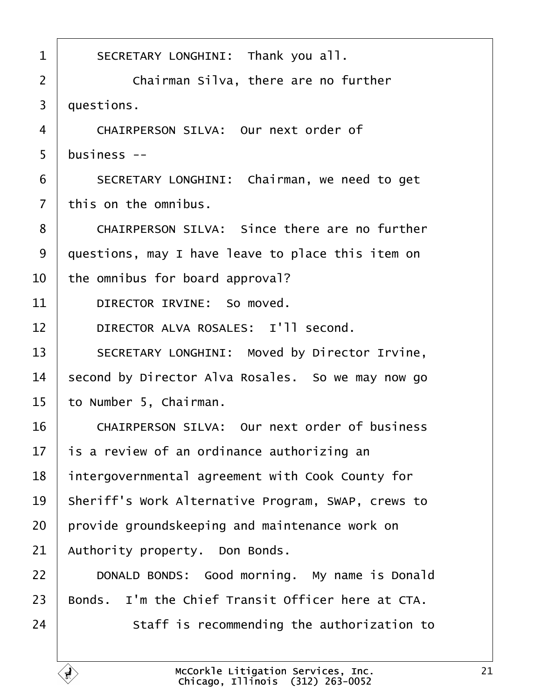<span id="page-20-0"></span>

| $\mathbf{1}$   | SECRETARY LONGHINI: Thank you all.                   |
|----------------|------------------------------------------------------|
| $\overline{2}$ | Chairman Silva, there are no further                 |
| $\overline{3}$ | questions.                                           |
| $\overline{4}$ | CHAIRPERSON SILVA: Our next order of                 |
| 5              | business --                                          |
| 6              | SECRETARY LONGHINI: Chairman, we need to get         |
| $\overline{7}$ | this on the omnibus.                                 |
| 8              | CHAIRPERSON SILVA: Since there are no further        |
| 9              | questions, may I have leave to place this item on    |
| 10             | the omnibus for board approval?                      |
| 11             | DIRECTOR IRVINE: So moved.                           |
| 12             | DIRECTOR ALVA ROSALES: I'll second.                  |
| 13             | SECRETARY LONGHINI: Moved by Director Irvine,        |
| 14             | second by Director Alva Rosales. So we may now go    |
| 15             | to Number 5, Chairman.                               |
| 16             | CHAIRPERSON SILVA: Our next order of business        |
| 17             | is a review of an ordinance authorizing an           |
| 18             | intergovernmental agreement with Cook County for     |
| 19             | Sheriff's Work Alternative Program, SWAP, crews to   |
| 20             | provide groundskeeping and maintenance work on       |
| 21             | Authority property. Don Bonds.                       |
| 22             | DONALD BONDS: Good morning. My name is Donald        |
| 23             | I'm the Chief Transit Officer here at CTA.<br>Bonds. |
| 24             | Staff is recommending the authorization to           |
|                |                                                      |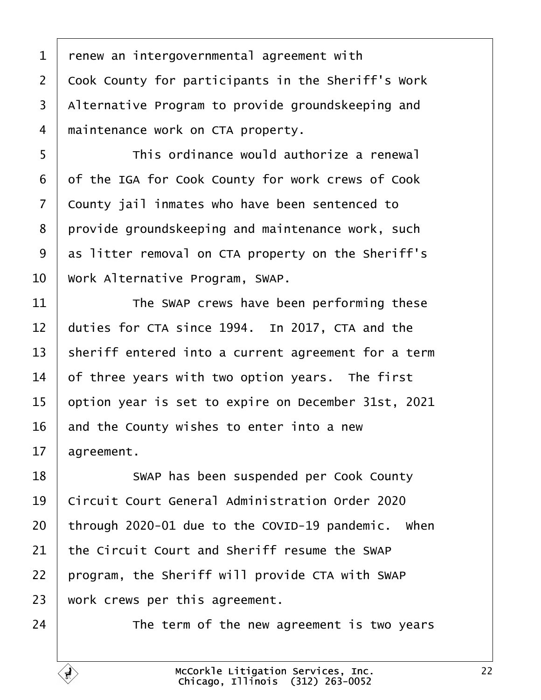<span id="page-21-0"></span> $1$   $\vert$  renew an intergovernmental agreement with  $2$   $\vert$  Cook County for participants in the Sheriff's Work 3 | Alternative Program to provide groundskeeping and 4 | maintenance work on CTA property.

5 | This ordinance would authorize a renewal 6 of the IGA for Cook County for work crews of Cook 7 County jail inmates who have been sentenced to  $8$  | provide groundskeeping and maintenance work, such  $9$  as litter removal on CTA property on the Sheriff's 10 Work Alternative Program, SWAP.

11 The SWAP crews have been performing these  $12$  duties for CTA since 1994. In 2017, CTA and the 13 | sheriff entered into a current agreement for a term  $14$  of three years with two option years. The first 15 | option year is set to expire on December 31st, 2021  $16$  and the County wishes to enter into a new  $17$  agreement.

18 | SWAP has been suspended per Cook County 19 Circuit Court General Administration Order 2020 through 2020-01 due to the COVID-19 pandemic. When the Circuit Court and Sheriff resume the SWAP | program, the Sheriff will provide CTA with SWAP work crews per this agreement.

24 The term of the new agreement is two years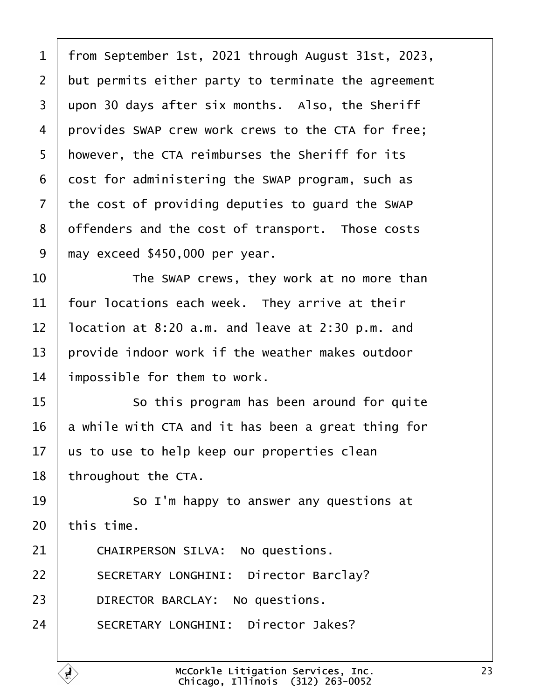<span id="page-22-0"></span>1 | from September 1st, 2021 through August 31st, 2023,  $2$  but permits either party to terminate the agreement  $3 \mid$  upon 30 days after six months. Also, the Sheriff 4 provides SWAP crew work crews to the CTA for free; 5 | however, the CTA reimburses the Sheriff for its  $6$  cost for administering the SWAP program, such as  $7$  the cost of providing deputies to quard the SWAP 8 | offenders and the cost of transport. Those costs  $9$   $\mid$  may exceed \$450,000 per year.

**I b** The SWAP crews, they work at no more than  $\parallel$  four locations each week. They arrive at their  $\vert$  location at 8:20 a.m. and leave at 2:30 p.m. and provide indoor work if the weather makes outdoor impossible for them to work.

**8 15** So this program has been around for quite a while with CTA and it has been a great thing for  $\vert$  us to use to help keep our properties clean | throughout the CTA.

19  $\parallel$  50 I'm happy to answer any questions at  $20$  this time.

21 CHAIRPERSON SILVA: No questions. 22 | SECRETARY LONGHINI: Director Barclay? 23 DIRECTOR BARCLAY: No questions. 24 SECRETARY LONGHINI: Director Jakes?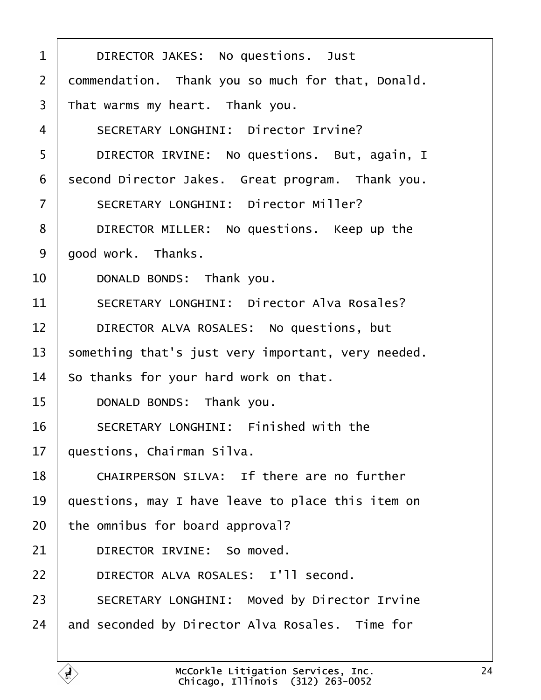<span id="page-23-0"></span>

| $\mathbf{1}$      | DIRECTOR JAKES: No questions. Just                 |
|-------------------|----------------------------------------------------|
| $\overline{2}$    | commendation. Thank you so much for that, Donald.  |
| 3                 | That warms my heart. Thank you.                    |
| 4                 | SECRETARY LONGHINI: Director Irvine?               |
| 5                 | DIRECTOR IRVINE: No questions. But, again, I       |
| 6                 | second Director Jakes. Great program. Thank you.   |
| $\overline{7}$    | SECRETARY LONGHINI: Director Miller?               |
| 8                 | DIRECTOR MILLER: No questions. Keep up the         |
| 9                 | good work. Thanks.                                 |
| 10                | DONALD BONDS: Thank you.                           |
| 11                | SECRETARY LONGHINI: Director Alva Rosales?         |
| $12 \overline{ }$ | DIRECTOR ALVA ROSALES: No questions, but           |
| 13                | something that's just very important, very needed. |
| 14                | So thanks for your hard work on that.              |
| 15                | DONALD BONDS: Thank you.                           |
| 16                | SECRETARY LONGHINI: Finished with the              |
| 17                | questions, Chairman Silva.                         |
| 18                | CHAIRPERSON SILVA: If there are no further         |
| 19                | questions, may I have leave to place this item on  |
| 20                | the omnibus for board approval?                    |
| 21                | DIRECTOR IRVINE: So moved.                         |
| 22                | DIRECTOR ALVA ROSALES: I'll second.                |
| 23                | SECRETARY LONGHINI: Moved by Director Irvine       |
| 24                | and seconded by Director Alva Rosales. Time for    |
|                   |                                                    |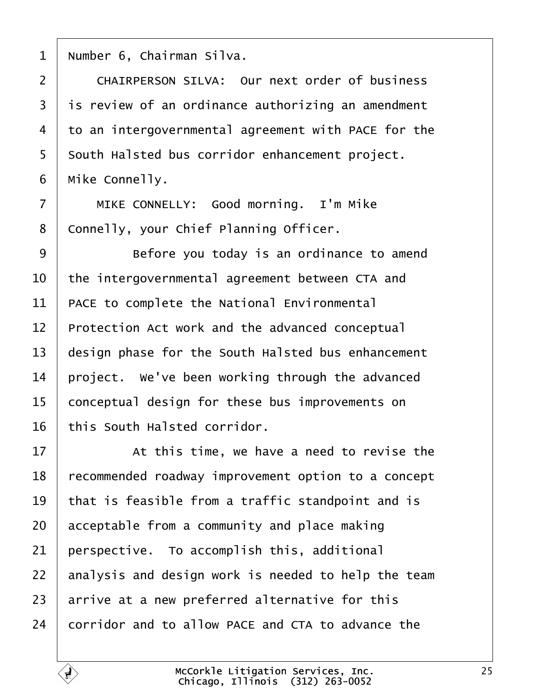<span id="page-24-0"></span>| Number 6, Chairman Silva.

2 | CHAIRPERSON SILVA: Our next order of business is review of an ordinance authorizing an amendment 4 to an intergovernmental agreement with PACE for the 5 | South Halsted bus corridor enhancement project. | Mike Connelly.

7 | MIKE CONNELLY: Good morning. I'm Mike 8 | Connelly, your Chief Planning Officer.

9 | Before you today is an ordinance to amend the intergovernmental agreement between CTA and | PACE to complete the National Environmental Protection Act work and the advanced conceptual design phase for the South Halsted bus enhancement  $\vert$  project. We've been working through the advanced 15 conceptual design for these bus improvements on this South Halsted corridor.

**17** At this time, we have a need to revise the 18 recommended roadway improvement option to a concept  $\vert$  that is feasible from a traffic standpoint and is acceptable from a community and place making perspective. To accomplish this, additional analysis and design work is needed to help the team arrive at a new preferred alternative for this corridor and to allow PACE and CTA to advance the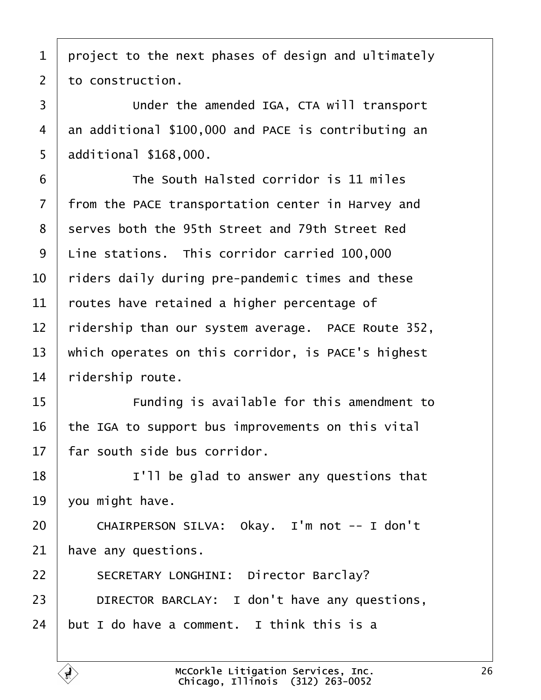<span id="page-25-0"></span> project to the next phases of design and ultimately to construction.

3 Under the amended IGA, CTA will transport 4 an additional \$100,000 and PACE is contributing an | additional  $$168,000$ .

·6· · · · · · The South Halsted corridor is 11 miles  $\mid$  from the PACE transportation center in Harvey and 8 | serves both the 95th Street and 79th Street Red Line stations. This corridor carried 100,000  $\vert$  riders daily during pre-pandemic times and these  $\vert$  routes have retained a higher percentage of  $\mid$  ridership than our system average. PACE Route 352, 13 | which operates on this corridor, is PACE's highest | ridership route.

15 | Funding is available for this amendment to  $\vert$  the IGA to support bus improvements on this vital  $\pm$  far south side bus corridor.

  $\vert$   $\vert$   $\vert$   $\vert$   $\vert$   $\vert$  be glad to answer any questions that | you might have.

20 | CHAIRPERSON SILVA: Okay. I'm not -- I don't have any questions.

22 | SECRETARY LONGHINI: Director Barclay? **DIRECTOR BARCLAY:** I don't have any questions, but I do have a comment. I think this is a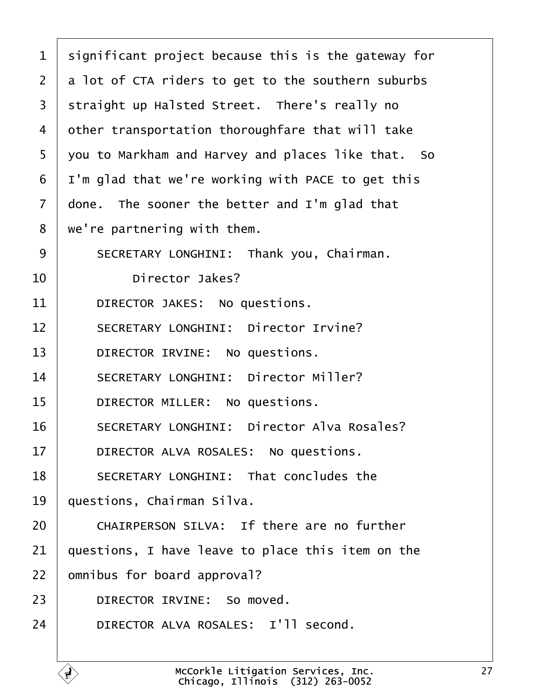<span id="page-26-0"></span>

| $\mathbf 1$    | significant project because this is the gateway for |
|----------------|-----------------------------------------------------|
| $\overline{2}$ | a lot of CTA riders to get to the southern suburbs  |
| 3              | straight up Halsted Street. There's really no       |
| 4              | other transportation thoroughfare that will take    |
| 5              | you to Markham and Harvey and places like that. So  |
| 6              | I'm glad that we're working with PACE to get this   |
| $\overline{7}$ | done. The sooner the better and I'm glad that       |
| 8              | we're partnering with them.                         |
| 9              | SECRETARY LONGHINI: Thank you, Chairman.            |
| 10             | Director Jakes?                                     |
| 11             | DIRECTOR JAKES: No questions.                       |
| 12             | SECRETARY LONGHINI: Director Irvine?                |
| 13             | DIRECTOR IRVINE: No questions.                      |
| 14             | SECRETARY LONGHINI: Director Miller?                |
| 15             | DIRECTOR MILLER: No questions.                      |
| 16             | SECRETARY LONGHINI: Director Alva Rosales?          |
| 17             | DIRECTOR ALVA ROSALES: No questions.                |
| 18             | SECRETARY LONGHINI: That concludes the              |
| 19             | questions, Chairman Silva.                          |
| 20             | CHAIRPERSON SILVA: If there are no further          |
| 21             | questions, I have leave to place this item on the   |
| 22             | omnibus for board approval?                         |
| 23             | DIRECTOR IRVINE: So moved.                          |
| 24             | DIRECTOR ALVA ROSALES: I'll second.                 |
|                |                                                     |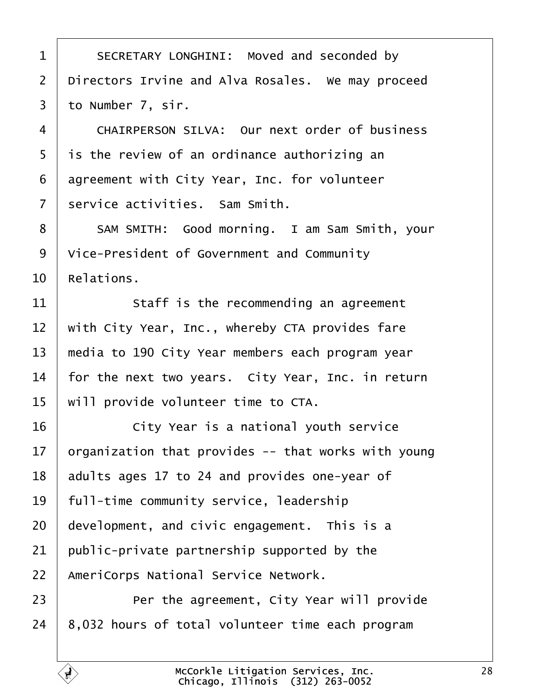<span id="page-27-0"></span>1 SECRETARY LONGHINI: Moved and seconded by  $\vert$  Directors Irvine and Alva Rosales. We may proceed to Number 7, sir.

4 CHAIRPERSON SILVA: Our next order of business | is the review of an ordinance authorizing an agreement with City Year, Inc. for volunteer service activities. Sam Smith.

8 | SAM SMITH: Good morning. I am Sam Smith, your Vice-President of Government and Community  $10 \parallel$  Relations.

 staff is the recommending an agreement  $\parallel$  with City Year, Inc., whereby CTA provides fare 13 | media to 190 City Year members each program year  $\vert$  for the next two years. City Year, Inc. in return  $\parallel$  will provide volunteer time to CTA.

**16** · · · · City Year is a national youth service 17 | organization that provides  $-$ - that works with young adults ages 17 to 24 and provides one-year of 19 | full-time community service, leadership development, and civic engagement. This is a  $\vert$  public-private partnership supported by the 22 AmeriCorps National Service Network.

**Per the agreement, City Year will provide** | 8,032 hours of total volunteer time each program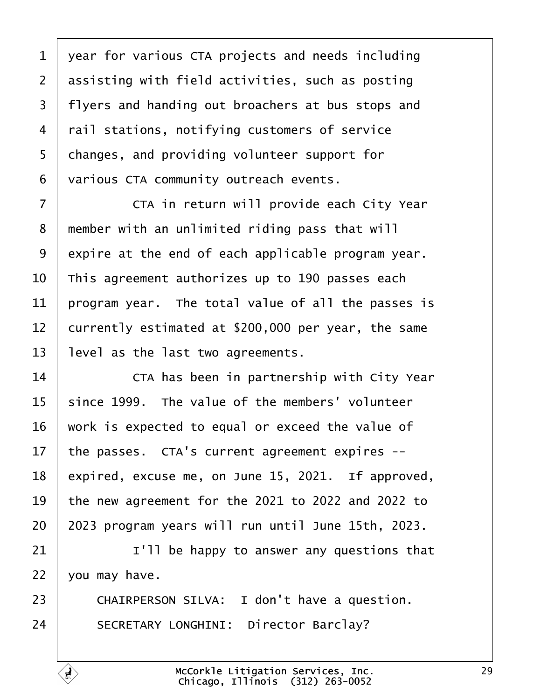<span id="page-28-0"></span> $1$  vear for various CTA projects and needs including  $2$  assisting with field activities, such as posting 3 | flyers and handing out broachers at bus stops and 4 | rail stations, notifying customers of service 5 | changes, and providing volunteer support for 6 | various CTA community outreach events.

·7· · · · · · CTA in return will provide each City Year 8 member with an unlimited riding pass that will  $9$  expire at the end of each applicable program year.  $10$  This agreement authorizes up to 190 passes each  $11$  program year. The total value of all the passes is 12 currently estimated at  $$200,000$  per year, the same  $13$  | level as the last two agreements.

**The Steam Extern** in partnership with City Year since 1999. The value of the members' volunteer work is expected to equal or exceed the value of  $\parallel$  the passes. CTA's current agreement expires -- expired, excuse me, on June 15, 2021. If approved,  $\vert$  the new agreement for the 2021 to 2022 and 2022 to | 2023 program years will run until June 15th, 2023.

21  $\vert$  21  $\vert$   $\vert$   $\vert$   $\vert$   $\vert$  be happy to answer any questions that  $22$  | you may have.

23 | CHAIRPERSON SILVA: I don't have a question. 24 SECRETARY LONGHINI: Director Barclay?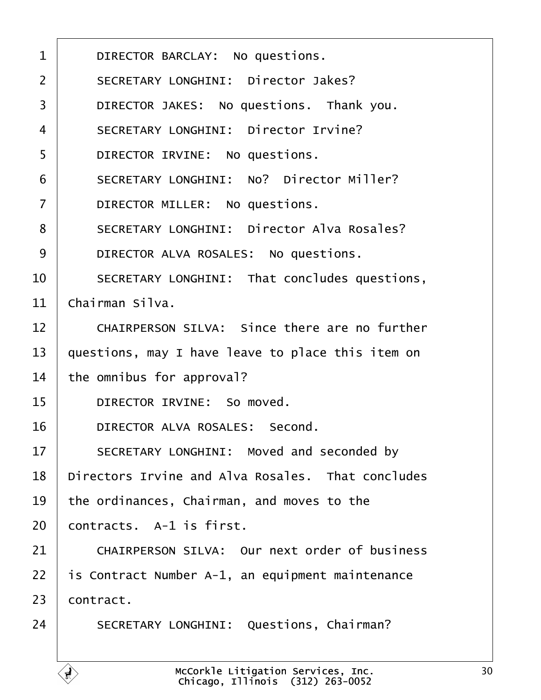<span id="page-29-0"></span>1 DIRECTOR BARCLAY: No questions. 2 | SECRETARY LONGHINI: Director Jakes? 3 DIRECTOR JAKES: No questions. Thank you. 4 SECRETARY LONGHINI: Director Irvine? 5 DIRECTOR IRVINE: No questions. 6 SECRETARY LONGHINI: No? Director Miller? 7 DIRECTOR MILLER: No questions. 8 | SECRETARY LONGHINI: Director Alva Rosales? 9 DIRECTOR ALVA ROSALES: No questions. 10 SECRETARY LONGHINI: That concludes questions,  $11 \mid$  Chairman Silva. 12 CHAIRPERSON SILVA: Since there are no further 13  $\vert$  questions, may I have leave to place this item on  $14$   $\vert$  the omnibus for approval? 15 **DIRECTOR IRVINE:** So moved. 16 DIRECTOR ALVA ROSALES: Second. 17 SECRETARY LONGHINI: Moved and seconded by 18 | Directors Irvine and Alva Rosales. That concludes  $19$   $\vert$  the ordinances, Chairman, and moves to the  $20$  contracts. A-1 is first. 21 CHAIRPERSON SILVA: Our next order of business  $22$  | is Contract Number A-1, an equipment maintenance  $23$  contract. 24 SECRETARY LONGHINI: Questions, Chairman?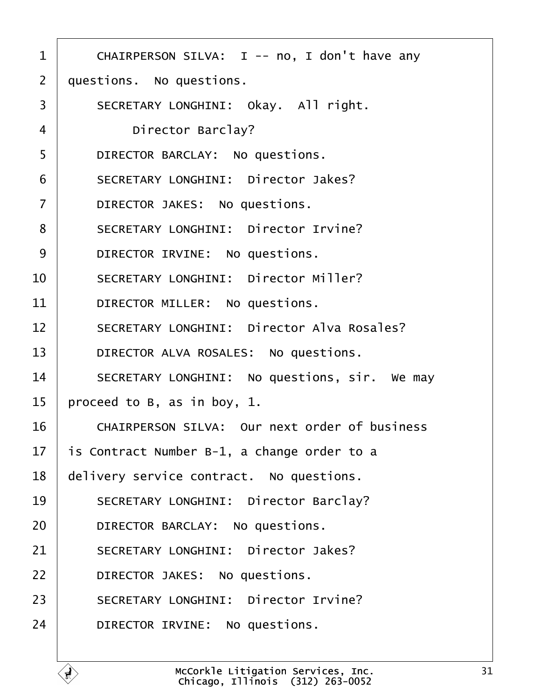<span id="page-30-0"></span>1 | CHAIRPERSON SILVA: I -- no, I don't have any  $2$   $\mid$  questions. No questions. 3 | SECRETARY LONGHINI: Okay. All right. 4 | Director Barclay? 5 DIRECTOR BARCLAY: No questions. 6 | SECRETARY LONGHINI: Director Jakes? 7 | DIRECTOR JAKES: No questions. 8 | SECRETARY LONGHINI: Director Irvine? 9 DIRECTOR IRVINE: No questions. 10 SECRETARY LONGHINI: Director Miller? 11 DIRECTOR MILLER: No questions. 12 SECRETARY LONGHINI: Director Alva Rosales? 13 | DIRECTOR ALVA ROSALES: No questions. 14 SECRETARY LONGHINI: No questions, sir. We may  $15$  | proceed to B, as in boy, 1. 16· · · ·CHAIRPERSON SILVA:· Our next order of business 17  $\vert$  is Contract Number B-1, a change order to a  $18$   $\vert$  delivery service contract. No questions. 19 SECRETARY LONGHINI: Director Barclay? 20 DIRECTOR BARCLAY: No questions. 21 SECRETARY LONGHINI: Director Jakes? 22 **DIRECTOR JAKES:** No questions. 23 SECRETARY LONGHINI: Director Irvine? 24 DIRECTOR IRVINE: No questions.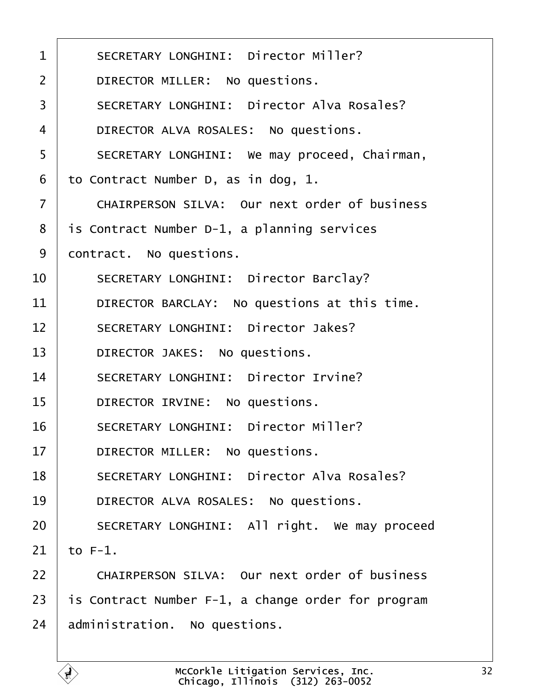<span id="page-31-0"></span>

| $\mathbf{1}$   | SECRETARY LONGHINI: Director Miller?               |
|----------------|----------------------------------------------------|
| $\overline{2}$ | DIRECTOR MILLER: No questions.                     |
| 3              | SECRETARY LONGHINI: Director Alva Rosales?         |
| 4              | DIRECTOR ALVA ROSALES: No questions.               |
| 5              | SECRETARY LONGHINI: We may proceed, Chairman,      |
| 6              | to Contract Number D, as in dog, 1.                |
| $\overline{7}$ | CHAIRPERSON SILVA: Our next order of business      |
| 8              | is Contract Number D-1, a planning services        |
| 9              | contract. No questions.                            |
| 10             | SECRETARY LONGHINI: Director Barclay?              |
| 11             | DIRECTOR BARCLAY: No questions at this time.       |
| 12             | SECRETARY LONGHINI: Director Jakes?                |
| 13             | DIRECTOR JAKES: No questions.                      |
| 14             | SECRETARY LONGHINI: Director Irvine?               |
| 15             | DIRECTOR IRVINE: No questions.                     |
| 16             | SECRETARY LONGHINI: Director Miller?               |
| 17             | DIRECTOR MILLER: No questions.                     |
| 18             | SECRETARY LONGHINI: Director Alva Rosales?         |
| 19             | DIRECTOR ALVA ROSALES: No questions.               |
| 20             | SECRETARY LONGHINI: All right. We may proceed      |
| 21             | to $F-1$ .                                         |
| 22             | CHAIRPERSON SILVA: Our next order of business      |
| 23             | is Contract Number F-1, a change order for program |
| 24             | administration. No questions.                      |
|                |                                                    |

ſ.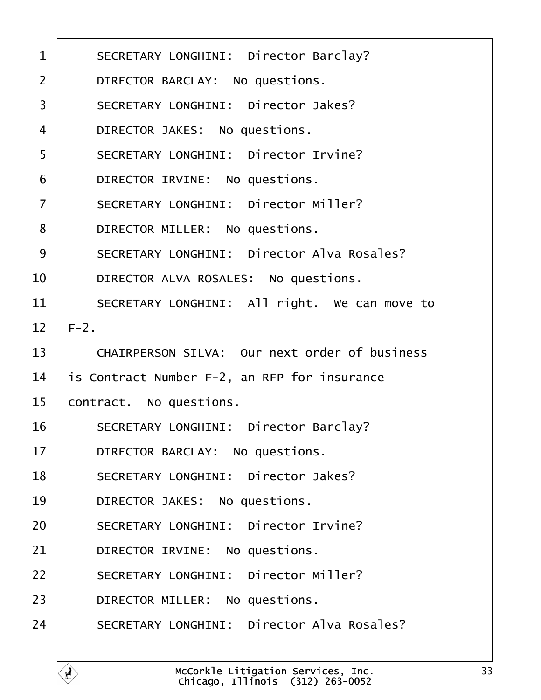<span id="page-32-0"></span>

| $\mathbf 1$    | SECRETARY LONGHINI: Director Barclay?         |
|----------------|-----------------------------------------------|
| $\overline{2}$ | DIRECTOR BARCLAY: No questions.               |
| 3              | SECRETARY LONGHINI: Director Jakes?           |
| $\overline{4}$ | DIRECTOR JAKES: No questions.                 |
| 5              | SECRETARY LONGHINI: Director Irvine?          |
| 6              | DIRECTOR IRVINE: No questions.                |
| $\overline{7}$ | SECRETARY LONGHINI: Director Miller?          |
| 8              | DIRECTOR MILLER: No questions.                |
| 9              | SECRETARY LONGHINI: Director Alva Rosales?    |
| 10             | DIRECTOR ALVA ROSALES: No questions.          |
| 11             | SECRETARY LONGHINI: All right. We can move to |
| 12             | $F-2$ .                                       |
| 13             | CHAIRPERSON SILVA: Our next order of business |
| 14             | is Contract Number F-2, an RFP for insurance  |
| 15             | contract. No questions.                       |
| 16             | SECRETARY LONGHINI: Director Barclay?         |
| 17             | DIRECTOR BARCLAY: No questions.               |
| 18             | SECRETARY LONGHINI: Director Jakes?           |
| 19             | DIRECTOR JAKES: No questions.                 |
| 20             | SECRETARY LONGHINI: Director Irvine?          |
| 21             | DIRECTOR IRVINE: No questions.                |
| 22             | SECRETARY LONGHINI: Director Miller?          |
| 23             | DIRECTOR MILLER: No questions.                |
| 24             | SECRETARY LONGHINI: Director Alva Rosales?    |
|                |                                               |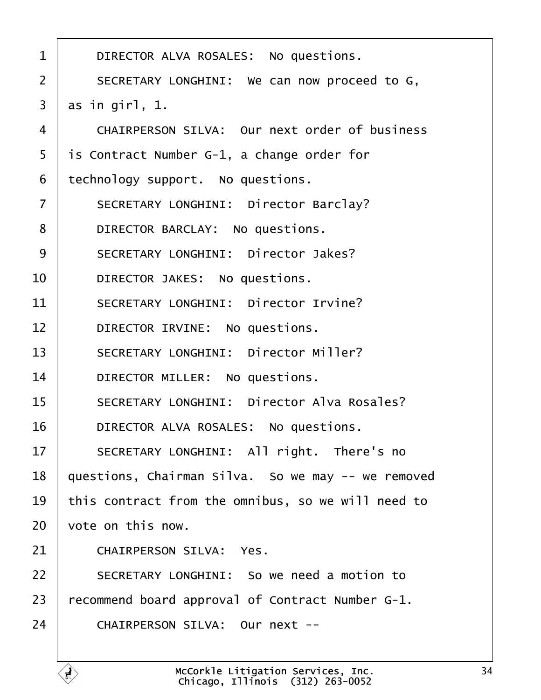<span id="page-33-0"></span>

| 1              | DIRECTOR ALVA ROSALES: No questions.               |
|----------------|----------------------------------------------------|
| $\overline{2}$ | SECRETARY LONGHINI: We can now proceed to G,       |
| 3              | as in girl, $1.$                                   |
| $\overline{4}$ | CHAIRPERSON SILVA: Our next order of business      |
| 5              | is Contract Number G-1, a change order for         |
| 6              | technology support. No questions.                  |
| $\overline{7}$ | SECRETARY LONGHINI: Director Barclay?              |
| 8              | DIRECTOR BARCLAY: No questions.                    |
| 9              | SECRETARY LONGHINI: Director Jakes?                |
| 10             | DIRECTOR JAKES: No questions.                      |
| 11             | SECRETARY LONGHINI: Director Irvine?               |
| 12             | DIRECTOR IRVINE: No questions.                     |
| 13             | SECRETARY LONGHINI: Director Miller?               |
| 14             | DIRECTOR MILLER: No questions.                     |
| 15             | SECRETARY LONGHINI: Director Alva Rosales?         |
| 16             | DIRECTOR ALVA ROSALES: No questions.               |
| 17             | SECRETARY LONGHINI: All right. There's no          |
| 18             | questions, Chairman Silva. So we may -- we removed |
| 19             | this contract from the omnibus, so we will need to |
| 20             | vote on this now.                                  |
| 21             | CHAIRPERSON SILVA: Yes.                            |
| 22             | SECRETARY LONGHINI: So we need a motion to         |
| 23             | recommend board approval of Contract Number G-1.   |
| 24             | CHAIRPERSON SILVA: Our next --                     |
|                |                                                    |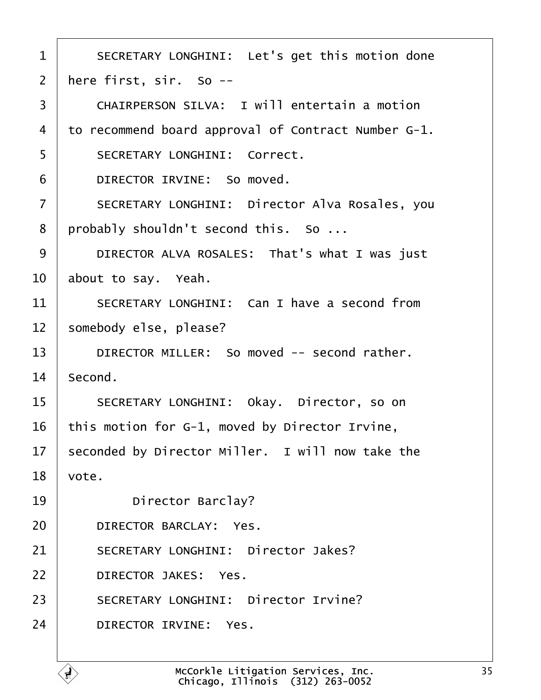<span id="page-34-0"></span>

| $\mathbf{1}$      | SECRETARY LONGHINI: Let's get this motion done      |
|-------------------|-----------------------------------------------------|
| $\overline{2}$    | here first, sir. So --                              |
| 3                 | CHAIRPERSON SILVA: I will entertain a motion        |
| 4                 | to recommend board approval of Contract Number G-1. |
| 5                 | SECRETARY LONGHINI: Correct.                        |
| 6                 | DIRECTOR IRVINE: So moved.                          |
| $\overline{7}$    | SECRETARY LONGHINI: Director Alva Rosales, you      |
| 8                 | probably shouldn't second this. So                  |
| 9                 | DIRECTOR ALVA ROSALES: That's what I was just       |
| 10                | about to say. Yeah.                                 |
| 11                | SECRETARY LONGHINI: Can I have a second from        |
| $12 \overline{ }$ | somebody else, please?                              |
| 13                | DIRECTOR MILLER: So moved -- second rather.         |
| 14                | Second.                                             |
| 15                | SECRETARY LONGHINI: Okay. Director, so on           |
| 16                | this motion for G-1, moved by Director Irvine,      |
| 17                | seconded by Director Miller. I will now take the    |
| 18                | vote.                                               |
| 19                | Director Barclay?                                   |
| 20                | DIRECTOR BARCLAY: Yes.                              |
| 21                | SECRETARY LONGHINI: Director Jakes?                 |
| 22                | DIRECTOR JAKES: Yes.                                |
| 23                | SECRETARY LONGHINI: Director Irvine?                |
| 24                | DIRECTOR IRVINE: Yes.                               |
|                   |                                                     |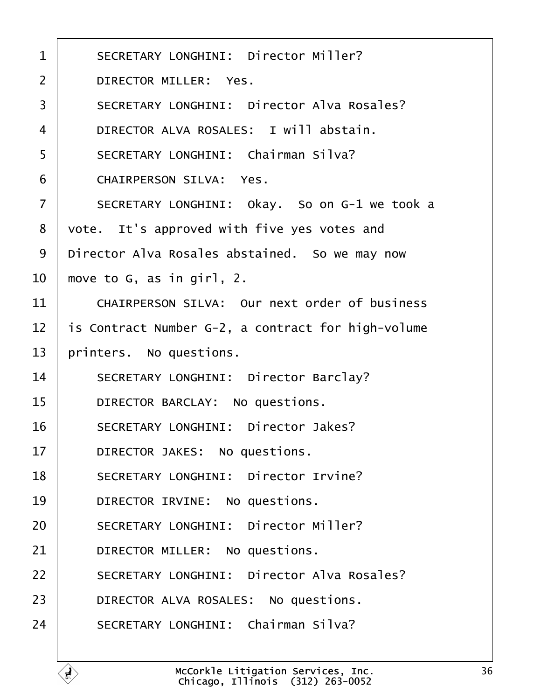<span id="page-35-0"></span>

| $\mathbf 1$    | SECRETARY LONGHINI: Director Miller?               |  |  |  |  |
|----------------|----------------------------------------------------|--|--|--|--|
| $\overline{2}$ | DIRECTOR MILLER: Yes.                              |  |  |  |  |
| 3              | SECRETARY LONGHINI: Director Alva Rosales?         |  |  |  |  |
| 4              | DIRECTOR ALVA ROSALES: I will abstain.             |  |  |  |  |
| 5              | SECRETARY LONGHINI: Chairman Silva?                |  |  |  |  |
| 6              | CHAIRPERSON SILVA: Yes.                            |  |  |  |  |
| $\overline{7}$ | SECRETARY LONGHINI: Okay. So on G-1 we took a      |  |  |  |  |
| 8              | vote. It's approved with five yes votes and        |  |  |  |  |
| 9              | Director Alva Rosales abstained. So we may now     |  |  |  |  |
| 10             | move to G, as in girl, 2.                          |  |  |  |  |
| 11             | CHAIRPERSON SILVA: Our next order of business      |  |  |  |  |
| 12             | is Contract Number G-2, a contract for high-volume |  |  |  |  |
| 13             | printers. No questions.                            |  |  |  |  |
| 14             | SECRETARY LONGHINI: Director Barclay?              |  |  |  |  |
| 15             | DIRECTOR BARCLAY: No questions.                    |  |  |  |  |
| 16             | SECRETARY LONGHINI: Director Jakes?                |  |  |  |  |
| 17             | DIRECTOR JAKES: No questions.                      |  |  |  |  |
| 18             | SECRETARY LONGHINI: Director Irvine?               |  |  |  |  |
| 19             | DIRECTOR IRVINE: No questions.                     |  |  |  |  |
| 20             | SECRETARY LONGHINI: Director Miller?               |  |  |  |  |
| 21             | DIRECTOR MILLER: No questions.                     |  |  |  |  |
| 22             | SECRETARY LONGHINI: Director Alva Rosales?         |  |  |  |  |
| 23             | DIRECTOR ALVA ROSALES: No questions.               |  |  |  |  |
| 24             | SECRETARY LONGHINI: Chairman Silva?                |  |  |  |  |
|                |                                                    |  |  |  |  |

É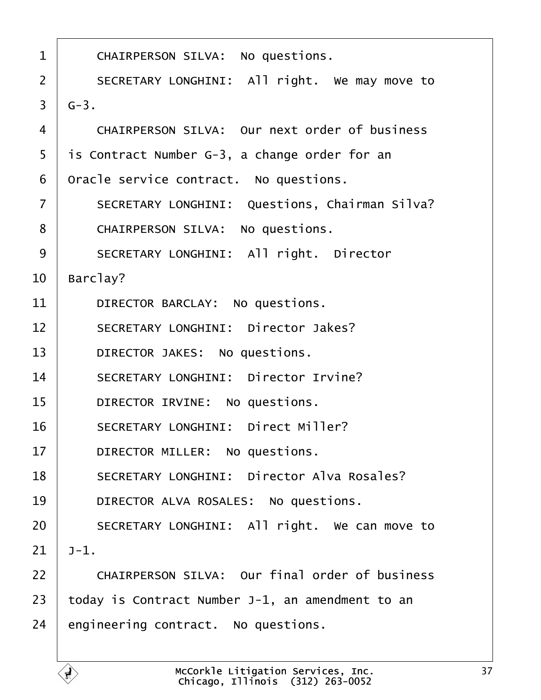<span id="page-36-0"></span>

| $\mathbf{1}$   | CHAIRPERSON SILVA: No questions.                 |  |  |  |  |  |
|----------------|--------------------------------------------------|--|--|--|--|--|
| $\overline{2}$ | SECRETARY LONGHINI: All right. We may move to    |  |  |  |  |  |
| 3              | $G-3$ .                                          |  |  |  |  |  |
| $\overline{4}$ | CHAIRPERSON SILVA: Our next order of business    |  |  |  |  |  |
| 5              | is Contract Number G-3, a change order for an    |  |  |  |  |  |
| 6              | Oracle service contract. No questions.           |  |  |  |  |  |
| $\overline{7}$ | SECRETARY LONGHINI: Questions, Chairman Silva?   |  |  |  |  |  |
| 8              | CHAIRPERSON SILVA: No questions.                 |  |  |  |  |  |
| 9              | SECRETARY LONGHINI: All right. Director          |  |  |  |  |  |
| 10             | Barclay?                                         |  |  |  |  |  |
| 11             | DIRECTOR BARCLAY: No questions.                  |  |  |  |  |  |
| 12             | SECRETARY LONGHINI: Director Jakes?              |  |  |  |  |  |
| 13             | DIRECTOR JAKES: No questions.                    |  |  |  |  |  |
| 14             | SECRETARY LONGHINI: Director Irvine?             |  |  |  |  |  |
| 15             | DIRECTOR IRVINE: No questions.                   |  |  |  |  |  |
| 16             | SECRETARY LONGHINI: Direct Miller?               |  |  |  |  |  |
| 17             | DIRECTOR MILLER: No questions.                   |  |  |  |  |  |
| 18             | SECRETARY LONGHINI: Director Alva Rosales?       |  |  |  |  |  |
| 19             | DIRECTOR ALVA ROSALES: No questions.             |  |  |  |  |  |
| 20             | SECRETARY LONGHINI: All right. We can move to    |  |  |  |  |  |
| 21             | $J-1.$                                           |  |  |  |  |  |
| 22             | CHAIRPERSON SILVA: Our final order of business   |  |  |  |  |  |
| 23             | today is Contract Number J-1, an amendment to an |  |  |  |  |  |
| 24             | engineering contract. No questions.              |  |  |  |  |  |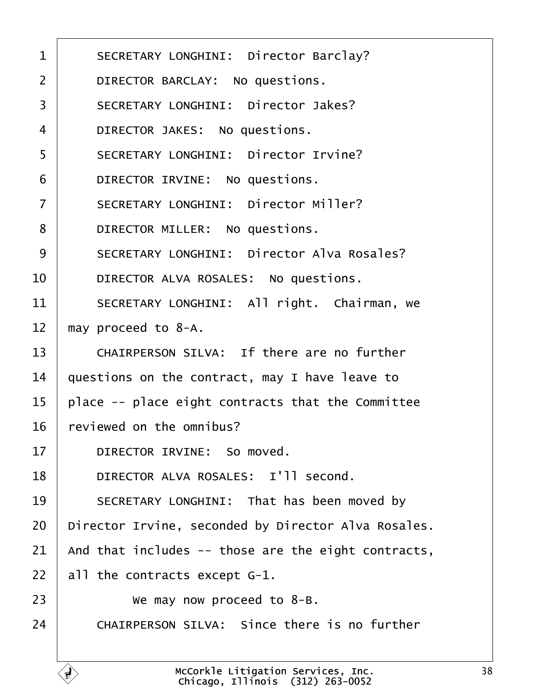<span id="page-37-0"></span>1 | SECRETARY LONGHINI: Director Barclay? 2 | DIRECTOR BARCLAY: No questions. 3 | SECRETARY LONGHINI: Director Jakes? 4 DIRECTOR JAKES: No questions. 5 SECRETARY LONGHINI: Director Irvine? 6 **DIRECTOR IRVINE:** No questions. 7 | SECRETARY LONGHINI: Director Miller? 8 **DIRECTOR MILLER:** No questions. 9 | SECRETARY LONGHINI: Director Alva Rosales? 10 | DIRECTOR ALVA ROSALES: No questions. 11 SECRETARY LONGHINI: All right. Chairman, we  $12$  may proceed to 8-A. 13 CHAIRPERSON SILVA: If there are no further 14  $\parallel$  questions on the contract, may I have leave to  $15$  | place -- place eight contracts that the Committee  $16$   $\mid$  reviewed on the omnibus? 17 DIRECTOR IRVINE: So moved. 18 | DIRECTOR ALVA ROSALES: I'll second. 19 SECRETARY LONGHINI: That has been moved by  $20$  | Director Irvine, seconded by Director Alva Rosales. 21  $\vert$  and that includes -- those are the eight contracts,  $22$  | all the contracts except G-1.  $23$   $\frac{1}{2}$  we may now proceed to 8-B. 24 | CHAIRPERSON SILVA: Since there is no further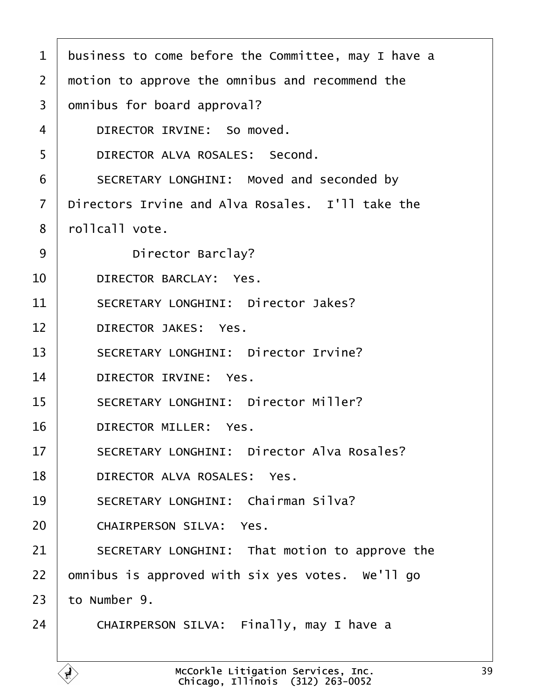<span id="page-38-0"></span>

| $\mathbf{1}$   | business to come before the Committee, may I have a |  |  |  |  |  |
|----------------|-----------------------------------------------------|--|--|--|--|--|
| $\overline{2}$ | motion to approve the omnibus and recommend the     |  |  |  |  |  |
| $\overline{3}$ | omnibus for board approval?                         |  |  |  |  |  |
| 4              | DIRECTOR IRVINE: So moved.                          |  |  |  |  |  |
| 5              | DIRECTOR ALVA ROSALES: Second.                      |  |  |  |  |  |
| 6              | SECRETARY LONGHINI: Moved and seconded by           |  |  |  |  |  |
| $\overline{7}$ | Directors Irvine and Alva Rosales. I'll take the    |  |  |  |  |  |
| 8              | rollcall vote.                                      |  |  |  |  |  |
| 9              | Director Barclay?                                   |  |  |  |  |  |
| 10             | DIRECTOR BARCLAY: Yes.                              |  |  |  |  |  |
| 11             | SECRETARY LONGHINI: Director Jakes?                 |  |  |  |  |  |
| 12             | DIRECTOR JAKES: Yes.                                |  |  |  |  |  |
| 13             | SECRETARY LONGHINI: Director Irvine?                |  |  |  |  |  |
| 14             | DIRECTOR IRVINE: Yes.                               |  |  |  |  |  |
| 15             | SECRETARY LONGHINI: Director Miller?                |  |  |  |  |  |
| 16             | DIRECTOR MILLER: Yes.                               |  |  |  |  |  |
| 17             | SECRETARY LONGHINI: Director Alva Rosales?          |  |  |  |  |  |
| 18             | DIRECTOR ALVA ROSALES: Yes.                         |  |  |  |  |  |
| 19             | SECRETARY LONGHINI: Chairman Silva?                 |  |  |  |  |  |
| 20             | CHAIRPERSON SILVA: Yes.                             |  |  |  |  |  |
| 21             | SECRETARY LONGHINI: That motion to approve the      |  |  |  |  |  |
| 22             | omnibus is approved with six yes votes. We'll go    |  |  |  |  |  |
| 23             | to Number 9.                                        |  |  |  |  |  |
| 24             | CHAIRPERSON SILVA: Finally, may I have a            |  |  |  |  |  |
|                |                                                     |  |  |  |  |  |

 $\mathbf{A}$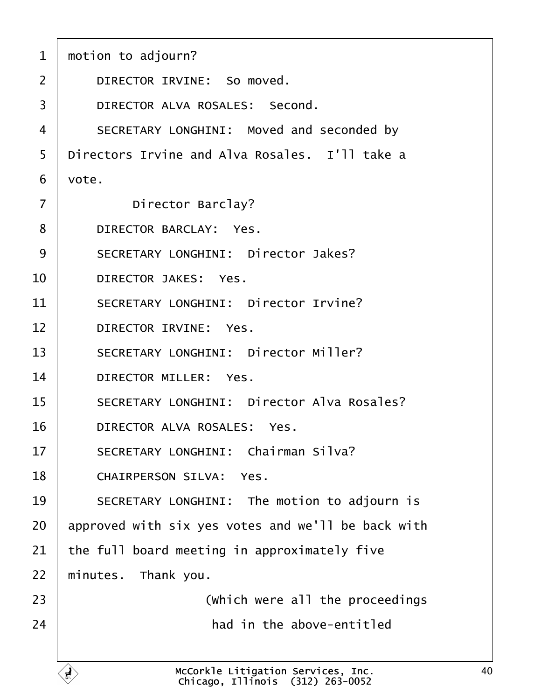<span id="page-39-0"></span>

| 1              | motion to adjourn?                                                     |  |  |  |  |
|----------------|------------------------------------------------------------------------|--|--|--|--|
| $\overline{2}$ | DIRECTOR IRVINE: So moved.                                             |  |  |  |  |
| 3              | DIRECTOR ALVA ROSALES: Second.                                         |  |  |  |  |
| $\overline{4}$ | SECRETARY LONGHINI: Moved and seconded by                              |  |  |  |  |
| 5              | Directors Irvine and Alva Rosales. I'll take a                         |  |  |  |  |
| 6              | vote.                                                                  |  |  |  |  |
| $\overline{7}$ | Director Barclay?                                                      |  |  |  |  |
| 8              | DIRECTOR BARCLAY: Yes.                                                 |  |  |  |  |
| 9              | SECRETARY LONGHINI: Director Jakes?                                    |  |  |  |  |
| 10             | DIRECTOR JAKES: Yes.                                                   |  |  |  |  |
| 11             | SECRETARY LONGHINI: Director Irvine?                                   |  |  |  |  |
| 12             | DIRECTOR IRVINE: Yes.                                                  |  |  |  |  |
| 13             | SECRETARY LONGHINI: Director Miller?                                   |  |  |  |  |
| 14             | DIRECTOR MILLER: Yes.                                                  |  |  |  |  |
| 15             | SECRETARY LONGHINI: Director Alva Rosales?                             |  |  |  |  |
| 16             | DIRECTOR ALVA ROSALES: Yes.                                            |  |  |  |  |
| 17             | SECRETARY LONGHINI: Chairman Silva?                                    |  |  |  |  |
| 18             | CHAIRPERSON SILVA: Yes.                                                |  |  |  |  |
| 19             | SECRETARY LONGHINI: The motion to adjourn is                           |  |  |  |  |
| 20             | approved with six yes votes and we'll be back with                     |  |  |  |  |
| 21             | the full board meeting in approximately five                           |  |  |  |  |
| 22             | minutes. Thank you.                                                    |  |  |  |  |
| 23             | (which were all the proceedings                                        |  |  |  |  |
| 24             | had in the above-entitled                                              |  |  |  |  |
|                | McCorkle Litigation Services, Inc.<br>Chicago. Illinois (312) 263-0052 |  |  |  |  |

 $\Gamma$ 

Chicago, Illinois· (312) 263-0052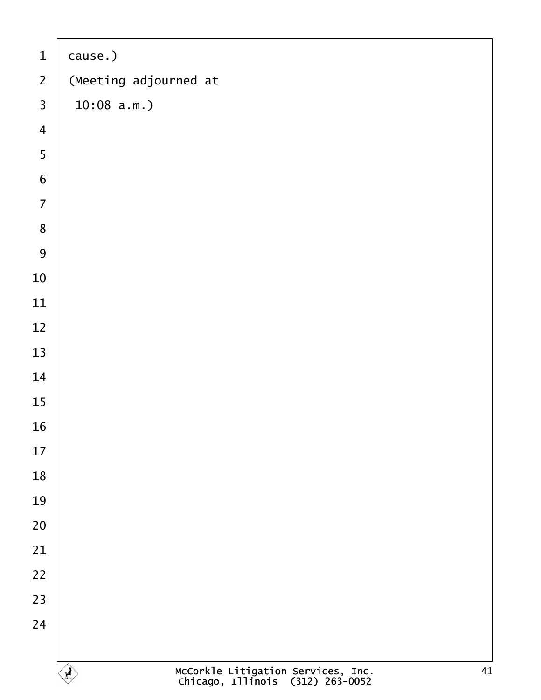<span id="page-40-0"></span>

| $\mathbf 1$             | cause.)                                                                                      |
|-------------------------|----------------------------------------------------------------------------------------------|
| $\overline{2}$          | (Meeting adjourned at                                                                        |
| $\overline{3}$          | 10:08 a.m.                                                                                   |
| $\overline{\mathbf{4}}$ |                                                                                              |
| 5                       |                                                                                              |
| $\overline{6}$          |                                                                                              |
| $\overline{7}$          |                                                                                              |
| 8                       |                                                                                              |
| 9                       |                                                                                              |
| 10                      |                                                                                              |
| $11\,$                  |                                                                                              |
| $12\,$                  |                                                                                              |
| 13                      |                                                                                              |
| 14                      |                                                                                              |
| 15                      |                                                                                              |
| 16                      |                                                                                              |
| 17                      |                                                                                              |
| 18                      |                                                                                              |
| 19                      |                                                                                              |
| 20                      |                                                                                              |
| 21                      |                                                                                              |
| 22                      |                                                                                              |
| 23                      |                                                                                              |
| 24                      |                                                                                              |
|                         |                                                                                              |
|                         | McCorkle Litigation Services, Inc.<br>Chicago, Illinois (312) 263-0052<br>41<br>$\mathbf{F}$ |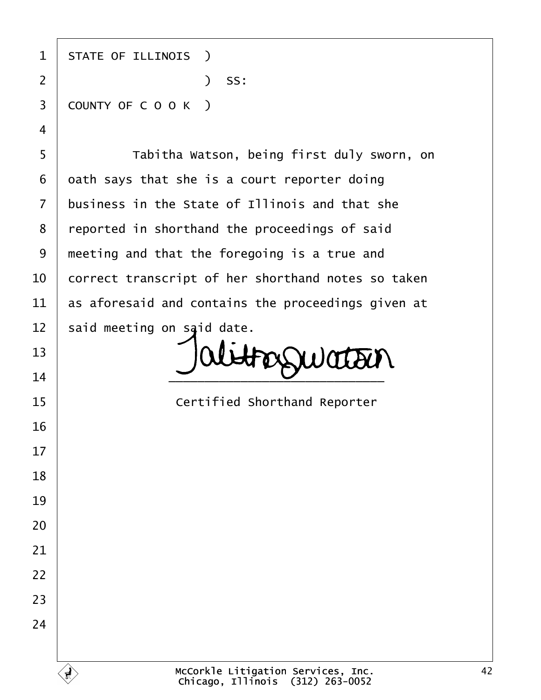1 | STATE OF ILLINOIS ) ·2· · · · · · · · · · · )· SS: 3 COUNTY OF C O O K ) 5 | Tabitha Watson, being first duly sworn, on

 oath says that she is a court reporter doing business in the State of Illinois and that she 8 | reported in shorthand the proceedings of said | meeting and that the foregoing is a true and  $\vert$  correct transcript of her shorthand notes so taken  $\vert$  as aforesaid and contains the proceedings given at said meeting on said date.

FOSSWOTTEN  $\overline{\phantom{a}14}$   $\overline{\phantom{a}14}$ 

**If the State of Certified Shorthand Reporter**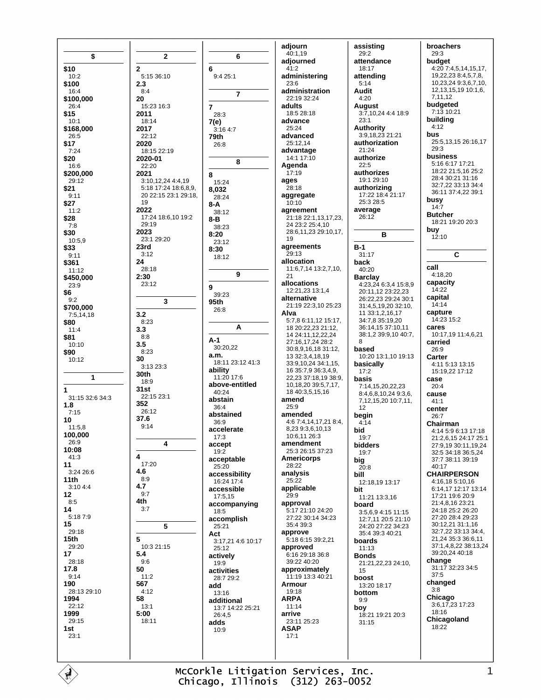\$ \$10  $10:2$ \$100  $16:4$ \$100.000  $26.4$ \$15  $10:1$ \$168,000  $26:5$ \$17  $7.24$ \$20 16:6 \$200,000  $29.12$  $$21$  $9:11$ \$27  $11:2$ \$28  $7:8$ \$30  $10:5.9$ \$33  $9.11$ \$361  $11:12$ \$450,000  $23:9$ \$6  $Q \cdot Q$ \$700,000  $7:5,14,18$ \$80  $11.4$ \$81  $10:10$ \$90  $10:12$  $\mathbf{1}$ 1 31:15 32:6 34:3  $1.8$  $7:15$ 10  $11:5,8$ 100.000  $26.9$ 10:08 41:3  $11$  $3:2426:6$  $11th$ 3:10 4:4  $12$  $8:5$  $14$  $5.1879$ 15 29:18  $15<sub>th</sub>$ 29:20 17 28:18 17.8  $9.14$ 190 28:13.29:10 1994  $22:12$ 1999  $29:15$  $1st$  $23.1$ 

 $\mathbf{r}$ 

 $\overline{2}$ 6  $5:15.36:10$  $2.3$  $R \cdot \Delta$ 20  $\overline{7}$  $15:23:16:3$ 2011 18:14 7(e) 2017  $22.12$ 79th 2020 18:15 22:19 2020-01 22:20 2021 8  $3:10.12.244:4.19$  $5.1817.2418689$ 8.032 20 22:15 23:1 29:18. 19 8-A 2022 17:24 18:6.10 19:2  $8 - B$ 29:19 2023  $8:20$  $23:129:20$  $23rd$  $8:30$  $3:12$ 24 28:18  $2:30$ 23:12 9  $\overline{\mathbf{3}}$ 95th  $32$  $8:23$  $3.3$  $8:8$  $A-1$  $3.5$  $8:23$ a.m. 30 3:13 23:3 ability 30th  $18.9$  $31st$ 22:15 23:1 abstain 352  $26:12$ abstained 37.6  $9.14$ accelerate  $\overline{\mathbf{A}}$ accent acceptable 17:20 4.6 accessibility  $8:9$ 4.7 accessible  $9:7$ 4th  $3.7$ accomplish 5 Act 10:3 21:15  $5.4$ actively  $9:6$ 50 activities  $11.2$ 567 add  $4.12$ 58 additional  $13:1$  $5:00$ 18:11 adds

4

5

 $\overline{2}$ 

adjourn 40:1,19 adiourned  $41.2$ administering  $23.6$ administration 22:19 32:24 adults  $18:528:18$ advance 25:24 advanced 25:12.14 advantage 14:1 17:10 Agenda  $17:19$ ages 28:18 aggregate  $10:10$ agreement 21:18 22:1,13,17,23, 24 23:2 25:4,10 28:6,11,23 29:10,17. 19 agreements  $29.13$ allocation 11:6,7,14 13:2,7,10,  $21$ allocations 12:21 23 13:1 4 alternative 21:19 22:3,10 25:23 Alva  $5:7.86:11.1215:17.$ 18 20:22.23 21:12. 14 24:11,12,22,24 27.16 17 24 28.2 30:8.9.16.18 31:12. 13 32:3,4,18,19 18:11 23:12 41:3 33:9,10,24 34:1,15, 16 35:7,9 36:3,4,9, 22,23 37:18,19 38:9, above-entitled 10,18,20 39:5,7,17, 18 40:3,5,15,16 amend  $25.9$ amended 4:6 7:4,14,17,21 8:4, 8,23 9:3,6,10,13 10:6,11 26:3 amendment 25:3 26:15 37:23 **Americorps**  $28.22$ analysis  $25:22$ applicable  $29.9$ accompanying approval 5:17 21:10 24:20 27:22 30:14 34:23 35:4 39:3 approve 5:18 6:15 39:2,21 3:17,21 4:6 10:17 approved 6:16 29:18 36:8 39:22 40:20 approximately 11:19 13:3 40:21 Armour  $19.18$ **ARPA**  $11:14$ 13:7 14:22 25:21 arrive 23:11 25:23 **ASAP**  $17.1$ 

6

 $\overline{7}$ 

8

 $9.425.1$ 

 $28:3$ 

 $26.8$ 

 $15:24$ 

 $28.24$ 

 $38.12$ 

38:23

 $23.12$ 

18:12

39:23

 $26.8$ 

30:20,22

11:20 17:6

 $40.24$ 

 $36.4$ 

 $36.9$ 

 $17:3$ 

 $19.2$ 

 $25:20$ 

16:24 17:4

17:5.15

18:5

 $25.21$ 

 $25:12$ 

 $19.9$ 

13:16

 $26.45$ 

 $10:9$ 

28:7 29:2

9

A

 $3:164:7$ 

assisting  $29:2$ attendance  $18:17$ attending  $5.14$ **Audit**  $4:20$ **August** 3:7,10,24 4:4 18:9  $23.1$ **Authority** 3:9,18,23 21:21 authorization  $21.24$ authorize  $22 - 5$ authorizes 19:1 29:10 authorizing  $17:22$  18:4 21:17  $25:328:5$ average  $26:12$  $B-1$ 31:17 hack  $40.20$ **Barclay** 4:23,24 6:3,4 15:8,9 20:11,12 23:22,23 26:22,23 29:24 30:1 31:4,5,19,20 32:10, 11 33:1,2,16,17 34:7.8 35:19.20 36:14.15 37:10.11 38:1,2 39:9,10 40:7, 8 based 10:20 13:1,10 19:13 basically  $17:2$ hasis  $7.14$  15 20 22 23 8:4,6,8,10,24 9:3,6, 7,12,15,20 10:7,11,  $12$ begin  $4:14$ bid  $19.7$ **bidders** 19:7 big  $20.8$ hill 12:18,19 13:17 bit 11:21 13:3,16 board  $3:5694:1511:15$ 12:7.11 20:5 21:10  $24.20$   $27.22$   $34.23$ 35:4 39:3 40:21 boards  $11:13$ **Bonds** 21:21.22.23 24:10. 15 boost 13:20 18:17 bottom  $9:9$ boy 18:21 19:21 20:3  $31:15$ 

B

broachers  $29:3$ budget  $4:207:4,5,14,15,17.$  $19.22.238:4.5.7.8$  $10.23.24936710$ 12, 13, 15, 19 10: 1, 6, 7,11,12 budgeted 7:13 10:21 buildina  $4.12$ **bus** 25:5.13.15 26:16.17  $29.3$ business 5:16 6:17 17:21 18:22 21:5,16 25:2 28:4 30:21 31:16 32.7.22.33.13.34.4 36:11 37:4.22 39:1 busy  $14.7$ **Butcher** 18:21 19:20 20:3 buy  $12:10$ C call 4:18.20 capacity  $14:22$ capital  $14.14$ capture 14:23 15:2 cares  $10:17.1911:4.6.21$ carried 26:9 Carter  $4:11$  5:13 13:15 15:19,22 17:12 case  $20.4$ cause  $41.1$ center  $26.7$ Chairman 4:14 5:9 6:13 17:18 21:2.6.15 24:17 25:1 27:9,19 30:11,19,24 32:5 34:18 36:5,24 37:7 38:11 39:19  $40:17$ **CHAIRPERSON**  $4.16$  18 5:10 16 6:14.17 12:17 13:14  $17.21$  19.6  $20.9$  $21.481623.21$ 24:18 25:2 26:20 27:20 28:4 29:23 30:12,21 31:1,16 32:7,22 33:13 34:4, 21,24 35:3 36:6,11 37:1,4,8,22 38:13,24 39:20,24 40:18 change 31:17 32:23 34:5  $37.5$ changed  $3:8$ Chicago  $3:6,17,23$  17:23 18:16 Chicagoland 18:22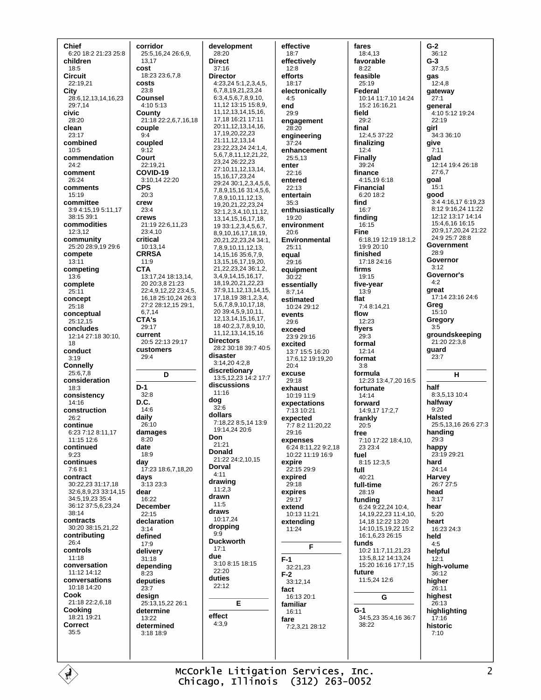Chief 6:20 18:2 21:23 25:8 children  $18:5$ Circuit 22:19.21 City 28:6, 12, 13, 14, 16, 23 29:7,14 civic  $28.20$ clean  $23:17$ combined  $10:5$ commendation  $24.2$ comment 26:24 comments  $15.19$ committee 3:9 4:15,19 5:11,17 38:15 39:1 commodities  $12.312$ community 25:20 28:9,19 29:6 compete  $13:11$ competing 13:6 complete  $25:11$ concept  $25:18$ conceptual  $25.12.15$ concludes 12:14 27:18 30:10, 18 conduct  $3:19$ **Connelly**  $25:6,7,8$ consideration  $18:3$ consistency  $14.16$ construction  $26:2$ continue 6:23 7:12 8:11.17  $11.15126$ continued  $9:23$ continues  $7:68:1$ contract 30:22.23.31:17.18 32:6,8,9,23 33:14,15 34:5,19,23 35:4 36:12 37:5,6,23,24  $38:14$ contracts 30:20 38:15,21,22 contributing  $26.4$ controls  $11.18$ conversation  $11.1214.12$ conversations 10:18 14:20 Cook 21:18 22:2,6,18 Cooking 18:21 19:21 Correct  $35:5$ 

corridor 25:5,16,24 26:6,9, 13.17 cost 18:23 23:6.7.8 costs  $23.8$ **Counsel**  $4.105.13$ County 21:18 22:2,6,7,16,18 couple  $9:4$ coupled  $9.12$ Court  $22.19.21$ COVID-19 3:10,14 22:20 **CPS**  $20.3$ crew  $23:4$ crews 21:19 22:6,11,23  $23:410$ critical 10:13,14 **CRRSA**  $11.9$ **CTA** 13:17,24 18:13,14, 20 20:3.8 21:23  $22.49122223345$ 16,18 25:10,24 26:3 27:2 28:12,15 29:1, 6,7,14 CTA's 29:17 current 20:5 22:13 29:17 customers 29:4 D  $D-1$  $32:8$ D.C.  $14.6$ daily  $26:10$ damages  $8:20$ date  $18:9$ day 17:23 18:6.7.18.20 days  $3.13.23.3$ dear  $16.22$ December  $22.15$ declaration  $3.14$ defined 17:9 delivery  $31.18$ depending  $8:23$ deputies  $23:7$ desian 25:13,15,22 26:1 determine 13:22 determined 3:18 18:9

development 28:20 **Direct**  $37.16$ **Director** 4:23,24 5:1,2,3,4,5, 6,7,8,19,21,23,24 6:3,4,5,6,7,8,9,10, 11,12 13:15 15:8.9. 11, 12, 13, 14, 15, 16, 17.18 16:21 17:11 20:11,12,13,14,16, 17, 19, 20, 22, 23 21:11,12,13,14 23:22,23,24 24:1,4, 567811122122 23.24 26:22.23 27:10,11,12,13,14, 15.16.17.23.24 29:24 30:1.2.3.4.5.6. 7,8,9,15,16 31:4,5,6, 7.8.9.10.11.12.13. 19,20,21,22,23,24 32:1,2,3,4,10,11,12, 13, 14, 15, 16, 17, 18, 19 33:1,2,3,4,5,6,7, 8,9,10,16,17,18,19, 20,21,22,23,24 34:1, 7,8,9,10,11,12,13, 14, 15, 16 35: 6, 7, 9, 13, 15, 16, 17, 19, 20, 21,22,23,24 36:1,2, 3.4.9.14.15.16.17. 18.19,20,21,22,23 37:9 11 12 13 14 15 17.18.19 38:1,2,3,4, 5.6.7.8.9.10.17.18. 20 39:4,5,9,10,11, 12.13.14.15.16.17. 18 40:2.3.7.8.9.10. 11, 12, 13, 14, 15, 16 **Directors** 28:2 30:18 39:7 40:5 disaster  $3:14.204.28$ discretionary 13:5,12,23 14:2 17:7 discussions  $11:16$ dog  $32.6$ dollars 7:18,22 8:5,14 13:9 19:14.24 20:6 Don  $21.21$ **Donald** 21:22 24:2.10.15 Dorval  $4.11$ drawing  $11:2.3$ drawn  $11:5$ draws 10:17.24 dropping  $9:9$ **Duckworth**  $17.1$ due 3:10 8:15 18:15  $22:20$ duties  $22:12$ E effect  $4:3.9$ 

effective  $18:7$ effectively  $12.8$ efforts  $18:17$ electronically  $4:5$ end  $29.9$ engagement  $28:20$ engineering  $37:24$ enhancement 25:5,13 enter 22:16 entered  $22:13$ entertain  $35.3$ enthusiastically 19:20 environment  $20.6$ Environmental  $25:11$ equal  $29.16$ equipment  $30.22$ essentially  $8:7,14$ estimated  $10.2429.12$ events 29:6 exceed 23:9 29:16 excited 13:7 15:5 16:20 17:6,12 19:19,20  $20.4$ excuse 29:18 exhaust 10:19 11:9 expectations 7:13 10:21 expected 7:7 8:2 11:20.22  $29.16$ expenses 6:24 8:11,22 9:2,18 10:22 11:19 16:9 expire 22:15 29:9 expired  $29.18$ expires 29:17 extend  $10:1311:21$ extending 11:24 F  $F-1$ 32:21,23  $F-2$ 33:12.14 fact 16:13 20:1 familiar  $16.11$ fare  $7.232128.12$ 

fares 18:4.13 favorable  $8.22$ feasible  $25.19$ Federal 10:14 11:7,10 14:24 15:2 16:16,21 field  $29.2$ final 12:4,5 37:22 finalizing  $12.4$ Finally  $39.24$ finance 4:15,196:18 **Financial**  $6.2018.2$ find  $16:7$ finding 16:15 Fine 6:18.19 12:19 18:1.2 19:9 20:10 finished  $17.1824.16$ firms 19:15 five-year  $13:9$ flat 7:4 8:14.21 flow  $12.23$ flyers -<br>29:3 formal  $12.14$ format  $3.8$ formula 12:23 13:4,7,20 16:5 fortunate  $14.14$ forward 14:9.17 17:2.7 frankly  $20:5$ free 7:10 17:22 18:4.10. 23 23:4 fuel 8:15 12:3,5 full  $40.21$ full-time 28:19 funding<br>6:24 9:22,24 10:4, 14.19.22.23 11:4.10. 14 18 12:22 13:20 14:10.15,19,22 15:2 16:1.6.23 26:15 funds 10:2 11:7,11,21,23 13:5,8,12 14:13,24 15:20 16:16 17:7,15 future 11:5.24 12:6 G  $G-1$ 34:5,23 35:4,16 36:7 38:22

 $G-2$ 36:12  $G-3$  $37:3.5$ gas  $12:4.8$ gateway  $27:1$ general 4.105.1219.24  $22.19$ girl 34:3 36:10 give  $7.11$ glad 12:14 19:4 26:18  $27:6.7$ goal  $15:1$ good  $3:44:16176:1923$ 8:12 9:16.24 11:22 12:12 13:17 14:14 15:4.6.16 16:15 20:9,17,20,24 21:22 24:9 25:7 28:8 Government  $28.9$ Governor  $3.12$ Governor's  $4:2$ great 17:14 23:16 24:6 Greg  $15:10$ Gregory  $3:5$ groundskeeping 21:20 22:3.8 guard  $23:7$ н half 8:3,5,13 10:4 halfway  $9.20$ **Halsted** 25:5,13,16 26:6 27:3 handing  $29.3$ happy 23:19 29:21 hard  $24:14$ Harvey  $26.727.5$ head  $3.17$ hear  $5.20$ heart  $16.23243$ held  $4:5$ helpful  $12.1$ high-volume 36:12 higher 26:11 highest 26:13 highlighting  $17:16$ historic  $7:10$ 

McCorkle Litigation Services, Inc. Chicago, Illinois (312) 263-0052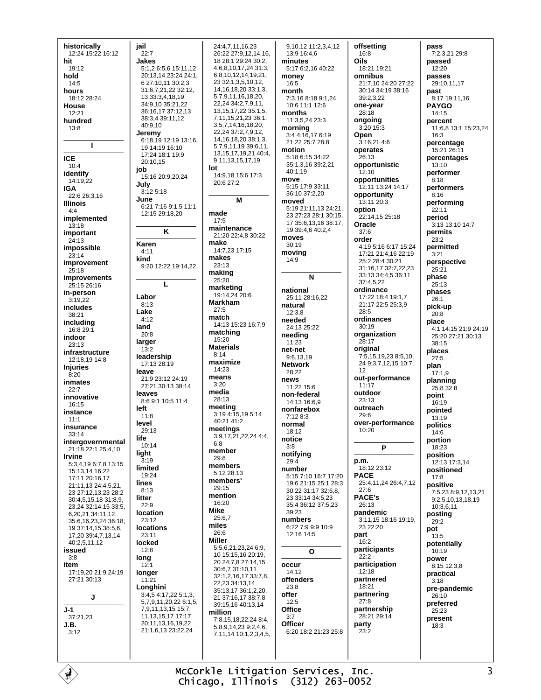| historically         | jail                  | 24:4,7,11,16,23              | 9,10,12 11:2,3,4,12    | offsetting           | pass                 |
|----------------------|-----------------------|------------------------------|------------------------|----------------------|----------------------|
|                      |                       |                              |                        |                      |                      |
| 12:24 15:22 16:12    | 22:7                  | 26:22 27:9,12,14,16,         | 13:9 16:4,6            | 16:8                 | 7:2,3,21 29:8        |
| hit                  | Jakes                 | 18 28:1 29:24 30:2,          | minutes                | Oils                 | passed               |
| 19:12                | 5:1,2 6:5,6 15:11,12  | 4, 6, 8, 10, 17, 24 31: 3,   | 5:17 6:2,16 40:22      | 18:21 19:21          | 12:20                |
| hold                 | 20:13,14 23:24 24:1,  | 6,8,10,12,14,19,21,          | money                  | omnibus              | passes               |
| 14:5                 | 6 27:10,11 30:2,3     | 23 32:1,3,5,10,12,           | 16:5                   | 21:7,10 24:20 27:22  | 29:10,11,17          |
|                      |                       | 14, 16, 18, 20 33: 1, 3,     |                        |                      |                      |
| hours                | 31:6,7,21,22 32:12,   |                              | month                  | 30:14 34:19 38:16    | past                 |
| 18:12 28:24          | 13 33:3,4,18,19       | 5,7,9,11,16,18,20,           | 7:3,16 8:18 9:1,24     | 39:2,3,22            | 8:17 19:11,16        |
| House                | 34:9,10 35:21,22      | 22,24 34:2,7,9,11,           | 10:6 11:1 12:6         | one-year             | <b>PAYGO</b>         |
| 12:21                | 36:16,17 37:12,13     | 13, 15, 17, 22 35: 1, 5,     | months                 | 28:18                | 14:15                |
|                      | 38:3,4 39:11,12       | 7,11,15,21,23 36:1,          | 11:3,5,24 23:3         | ongoing              |                      |
| hundred              | 40:9,10               | 3,5,7,14,16,18,20,           |                        |                      | percent              |
| 13:8                 |                       | 22,24 37:2,7,9,12,           | morning                | 3:20 15:3            | 11:6,8 13:1 15:23,24 |
|                      | Jeremy                |                              | 3:4 4:16.17 6:19       | Open                 | 16:3                 |
|                      | 6:18,19 12:19 13:16,  | 14, 16, 18, 20 38: 1, 3,     | 21:22 25:7 28:8        | 3:16,21 4:6          | percentage           |
| т                    | 19 14:19 16:10        | 5,7,9,11,19 39:6,11,         | motion                 | operates             | 15:21 26:11          |
|                      | 17:24 18:1 19:9       | 13, 15, 17, 19, 21 40: 4,    | 5:18 6:15 34:22        |                      |                      |
| <b>ICE</b>           | 20:10,15              | 9,11,13,15,17,19             |                        | 26:13                | percentages          |
| 10:4                 | job                   | lot                          | 35:1,3,16 39:2,21      | opportunistic        | 13:10                |
| identify             |                       | 14:9,18 15:6 17:3            | 40:1,19                | 12:10                | performer            |
| 14:19,22             | 15:16 20:9,20,24      |                              | move                   | opportunities        | 8:18                 |
|                      | July                  | 20:6 27:2                    | 5:15 17:9 33:11        | 12:11 13:24 14:17    | performers           |
| IGA                  | 3:12 5:18             |                              | 36:10 37:2,20          |                      |                      |
| 22:6 26:3,16         | June                  | M                            |                        | opportunity          | 8:16                 |
| <b>Illinois</b>      |                       |                              | moved                  | 13:11 20:3           | performing           |
| 4:4                  | 6:21 7:16 9:1,5 11:1  |                              | 5:19 21:11,13 24:21,   | option               | 22:11                |
| implemented          | 12:15 29:18,20        | made                         | 23 27:23 28:1 30:15,   | 22:14,15 25:18       | period               |
|                      |                       | 17:5                         | 17 35:6, 13, 16 38:17, | Oracle               | 3:13 13:10 14:7      |
| 13:18                |                       | maintenance                  | 19 39:4,6 40:2,4       |                      |                      |
| important            | Κ                     | 21:20 22:4,8 30:22           |                        | 37:6                 | permits              |
| 24:13                |                       | make                         | moves                  | order                | 23:2                 |
| impossible           | Karen                 |                              | 30:19                  | 4:19 5:16 6:17 15:24 | permitted            |
|                      | 4:11                  | 14:7,23 17:15                | moving                 | 17:21 21:4.16 22:19  | 3:21                 |
| 23:14                | kind                  | makes                        | 14:9                   | 25:2 28:4 30:21      |                      |
| improvement          | 9:20 12:22 19:14,22   | 23:13                        |                        |                      | perspective          |
| 25:18                |                       | making                       |                        | 31:16,17 32:7,22,23  | 25:21                |
| <b>improvements</b>  |                       |                              | N                      | 33:13 34:4,5 36:11   | phase                |
| 25:15 26:16          | L                     | 25:20                        |                        | 37:4,5,22            | 25:13                |
|                      |                       | marketing                    | national               | ordinance            | phases               |
| in-person            | Labor                 | 19:14,24 20:6                | 25:11 28:16,22         | 17:22 18:4 19:1,7    |                      |
| 3:19,22              |                       | <b>Markham</b>               |                        |                      | 26:1                 |
| includes             | 8:13                  | 27:5                         | natural                | 21:17 22:5 25:3,9    | pick-up              |
| 38:21                | Lake                  |                              | 12:3.8                 | 28:5                 | 20:8                 |
|                      | 4:12                  | match                        | needed                 | ordinances           | place                |
| including            | land                  | 14:13 15:23 16:7,9           | 24:13 25:22            | 30:19                |                      |
| 16:8 29:1            | 20:8                  | matching                     |                        | organization         | 4:1 14:15 21:9 24:19 |
| indoor               |                       | 15:20                        | needing                |                      | 25:20 27:21 30:13    |
| 23:13                | larger                |                              | 11:23                  | 28:17                | 38:15                |
| infrastructure       | 13:2                  | <b>Materials</b>             | net-net                | original             | places               |
|                      | leadership            | 8:14                         | 9:6,13,19              | 7:5,15,19,23 8:5,10, | 27:5                 |
| 12:18,19 14:8        | 17:13 28:19           | maximize                     | <b>Network</b>         | 24 9:3,7,12,15 10:7, |                      |
| <b>Injuries</b>      |                       | 14:23                        |                        | 12                   | plan                 |
| 8:20                 | leave                 | means                        | 28:22                  |                      | 17:1,9               |
| inmates              | 21:9 23:12 24:19      |                              | news                   | out-performance      | planning             |
| 22:7                 | 27:21 30:13 38:14     | 3:20                         | 11:22 15:6             | 11:17                | 25:8 32:8            |
|                      | leaves                | media                        | non-federal            | outdoor              | point                |
| innovative           | 8:6 9:1 10:5 11:4     | 28:13                        | 14:13 16:6,9           | 23:13                |                      |
| 16:15                | left                  | meeting                      |                        | outreach             | 16:19                |
| instance             |                       | 3:19 4:15,19 5:14            | nonfarebox             | 29:6                 | pointed              |
| 11:1                 | 11:8                  |                              | 7:12 8:3               |                      | 13:19                |
| insurance            | level                 | 40:21 41:2                   | normal                 | over-performance     | politics             |
|                      | 29:13                 | meetings                     | 18:12                  | 10:20                | 14:6                 |
| 33:14                | life                  | 3:9,17,21,22,244:4,          |                        |                      |                      |
| intergovernmental    | 10:14                 | 6,8                          | notice                 |                      | portion              |
| 21:18 22:1 25:4,10   |                       | member                       | 3:8                    | P                    | 18:23                |
| Irvine               | light                 |                              | notifying              |                      | position             |
| 5:3,4,19 6:7,8 13:15 | 3:19                  | 29:8                         | 29:4                   | p.m.                 | 12:13 17:3.14        |
|                      | limited               | members                      | number                 | 18:12 23:12          | positioned           |
| 15:13,14 16:22       | 19:24                 | 5:12 28:13                   | 5:15 7:10 16:7 17:20   | PACE                 |                      |
| 17:11 20:16,17       | lines                 | members'                     |                        | 25:4,11,24 26:4,7,12 | 17:8                 |
| 21:11,13 24:4,5,21,  |                       |                              | 19:6 21:15 25:1 28:3   |                      | positive             |
| 23 27:12,13,23 28:2  |                       |                              |                        |                      | 7:5,23 8:9,12,13,21  |
|                      | 8:13                  | 29:15                        | 30:22 31:17 32:6.8.    | 27:6                 |                      |
| 30:4,5,15,18 31:8,9, | litter                | mention                      | 23 33:14 34:5,23       | <b>PACE's</b>        | 9:2,5,10,13,18,19    |
|                      | 22:9                  | 16:20                        | 35:4 36:12 37:5,23     | 26:13                | 10:3,6,11            |
| 23,24 32:14,15 33:5, |                       | <b>Mike</b>                  | 39:23                  |                      |                      |
| 6,20,21 34:11,12     | <b>location</b>       | 25:6,7                       |                        | pandemic             | posting              |
| 35:6,16,23,24 36:18, | 23:12                 |                              | numbers                | 3:11,15 18:16 19:19, | 29:2                 |
| 19 37:14,15 38:5,6,  | <b>locations</b>      | miles                        | 6:22 7:9 9:9 10:9      | 23 22:20             | pot                  |
| 17,20 39:4,7,13,14   | 23:11                 | 26:6                         | 12:16 14:5             | part                 | 13:5                 |
| 40:2,5,11,12         | locked                | Miller                       |                        | 16:2                 |                      |
|                      | 12:8                  | 5:5,6,21,23,24 6:9,          |                        | participants         | potentially          |
| issued               |                       | 10 15:15,16 20:19,           | O                      |                      | 10:19                |
| 3:8                  | long                  | 20 24:7,8 27:14,15           |                        | 22:2                 | power                |
| item                 | 12:1                  |                              | occur                  | participation        | 8:15 12:3,8          |
| 17:19,20 21:9 24:19  | longer                | 30:6,7 31:10,11              | 14:12                  | 12:18                | practical            |
| 27:21 30:13          | 11:21                 | 32:1,2,16,17 33:7,8,         | offenders              | partnered            |                      |
|                      |                       | 22,23 34:13,14               | 23:8                   | 18:21                | 3:18                 |
|                      | Longhini              | 35:13,17 36:1,2,20,          |                        |                      | pre-pandemic         |
| J                    | 3:4,54:17,225:1,3     | 21 37:16,17 38:7,8           | offer                  | partnering           | 26:10                |
|                      | 5,7,9,11,20,22 6:1,5, | 39:15,16 40:13,14            | 12:5                   | 27:8                 | preferred            |
| J-1                  | 7,9,11,13,15 15:7,    |                              | Office                 | partnership          | 25:23                |
| 37:21,23             | 11, 13, 15, 17 17: 17 | million                      | 3:7                    | 28:21 29:14          |                      |
|                      | 20:11,13,16,19,22     | 7:8,15,18,22,24 8:4,         |                        |                      | present              |
| J.B.                 |                       | 5,8,9,14,23 9:2,4,6,         | <b>Officer</b>         | party                | 18:3                 |
| 3:12                 | 21:1,6,13 23:22,24    | 7, 11, 14 10: 1, 2, 3, 4, 5, | 6:20 18:2 21:23 25:8   | 23:2                 |                      |
|                      |                       |                              |                        |                      |                      |
|                      |                       |                              |                        |                      |                      |

McCorkle Litigation Services, Inc.<br>Chicago, Illinois (312) 263-0052

 $\overline{\mathbf{r}}$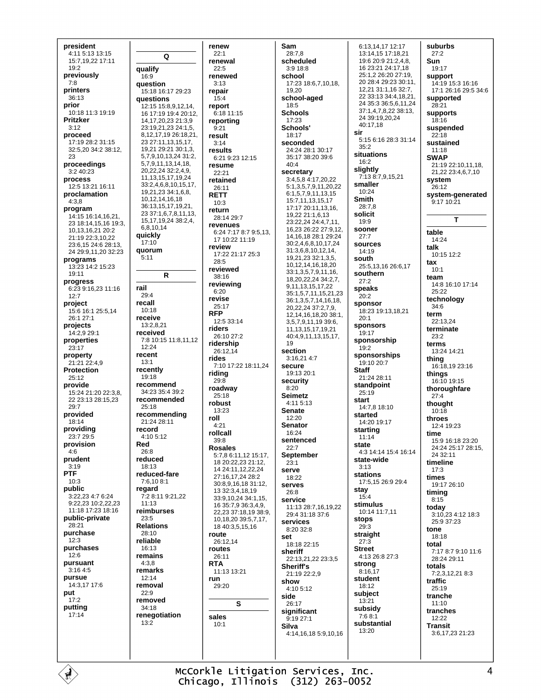president 4:11 5:13 13:15 15:7.19.22 17:11  $19:2$ previously  $7.8$ printers 36:13 prior 10:18 11:3 19:19 **Pritzker**  $3:12$ proceed 17:19 28:2 31:15 32:5,20 34:2 38:12, 23 proceedings  $3.240.23$ process 12:5 13:21 16:11 proclamation  $4:3.8$ program 14:15 16:14,16,21, 23 18:14.15.16 19:3. 10,13,16,21 20:2 21:19 22:3,10,22 23:6,15 24:6 28:13 24 29:9,11,20 32:23 programs  $13.23$   $14.2$   $15.23$  $19:11$ progress 6:23 9:16,23 11:16  $12:7$ project 15:6 16:1 25:5.14 26:1 27:1 projects 14:2,9 29:1 properties  $23:17$ property 21:21 22:4.9 Protection  $25.12$ provide 15:24 21:20 22:3,8, 22 23:13 28:15,23  $29.7$ provided 18:14 providing 23:7 29:5 provision  $4:6$ prudent  $3:19$ **PTF**  $10:3$ public 3:22.23 4:7 6:24 9:22,23 10:2,22,23 11:18 17:23 18:16 public-private 28:21 purchase  $12.3$ purchases  $12:6$ pursuant  $3:164:5$ pursue 14:3,17 17:6 put  $17:2$ putting  $17.14$ 

renew  $22:1$ Q renewal  $22.5$ renewed  $3.13$ question 15:18 16:17 29:23 repair **auestions**  $15:4$ 12:15 15:8,9,12,14, renort 16 17:19 19:4 20:12,  $6.1811115$ reporting 14, 17, 20, 23 21: 3, 9 23:19,21,23 24:1,5,  $9:21$ 8,12,17,19 26:18,21, result 23 27:11, 13, 15, 17,  $3:14$ 19,21 29:21 30:1,3, results 5,7,9,10,13,24 31:2, 6:21 9:23 12:15 5,7,9,11,13,14,18, resume 20,22,24 32:2,4,9, 22:21 11.13.15.17.19.24 retained 33:2,4,6,8,10,15,17,  $26:11$ 19.21.23 34:1.6.8. **RETT** 10 12 14 16 18  $10:3$ 36:13,15,17,19,21 return 23 37 1 6 7 8 11 13 28:14 29:7 15, 17, 19, 24 38: 2, 4, revenues 681014 17 10:22 11:19 review quorum  $28.5$ reviewed  $\mathsf{R}$  $38:16$ reviewing  $6:20$ revise  $25:17$ **RFP**  $12.5.33.14$  $13.2821$ riders received 26:10 27:2 7:8 10:15 11:8,11,12 ridership  $26:1214$ rides recently riding  $29:8$ recommend roadway 34:23 35:4 39:2  $25.18$ recommended robust 13:23 recommending roll 21:24 28:11  $4:21$ rollcall  $4.105.12$  $39:8$ **Rosales** reduced reduced-fare 7:6.10 8:1 13 32 34 18 19  $7.28.119.2122$ reimburses **Relations** 18 40:3,5,15,16 route 26:12,14 routes remains  $26:11$ **RTA** remarks 11:13 13:21 run removal 29:20 removed renegotiation sales  $10.1$ 

qualify

16:9

quickly

 $17:10$ 

 $5:11$ 

rail

 $29.4$ 

recall

 $10:18$ 

receive

 $12.24$ 

recent

 $13:1$ 

 $19.18$ 

 $25.18$ 

record

Red

 $26:8$ 

18:13

regard

 $11.13$ 

 $23:5$ 

 $28.10$ 

reliable

16:13

 $4:3.8$ 

 $12.14$ 

 $22:9$ 

 $34.18$ 

 $13:2$ 

Sam 28:7.8 scheduled  $3.918.8$ school 19,20  $18.5$ **Schools**  $17.23$ Schools' 18:17 seconded  $40 - 4$ secretary 6:24 7:17 8:7 9:5.13. 17:22 21:17 25:3 19 section 7:10 17:22 18:11,24 secure security  $8.20$ **Seimetz**  $4.115.13$ **Senate**  $12:20$ **Senator**  $16.24$ sentenced  $22:7$ September 5:7,8 6:11,12 15:17, 18 20:22, 23 21:12,  $23:1$ 14 24:11, 12, 22, 24 SALVA 27:16.17.24 28:2 18:22 30:8.9.16.18 31:12. serves 26:8 33:9.10.24 34:1.15. service 16 35:7,9 36:3,4,9. 22.23 37:18.19 38:9. 10.18.20 39:5.7.17. services 8:20 32:8 set sheriff Sheriff's show  $4.105.12$ side  $26:17$ significant  $9:1927:1$ Silva

17:23 18:6,7,10,18, school-aged 24:24 28:1 30:17 35:17 38:20 39:6 3:4,5,8 4:17,20,22 5:1,3,5,7,9,11,20,22  $6:1,5,7,9,11,13,15$ 15:7,11,13,15,17 17:17 20:11,13,16, 19,22 21:1,6,13 23:22,24 24:4,7,11, 16,23 26:22 27:9,12, 14 16 18 28 1 29 24  $30.2468101724$ 31:3.6.8.10.12.14. 19 21 23 32 1 3 5 10.12.14.16.18.20 33:1,3,5,7,9,11,16, 18,20,22,24 34:2,7, 9,11,13,15,17,22 35:1,5,7,11,15,21,23 36:1,3,5,7,14,16,18, 20, 22, 24 37: 2, 7, 9, 12,14,16,18,20 38:1, 3.5.7.9.11.19 39:6. 11, 13, 15, 17, 19, 21 40:4,9,11,13,15,17,  $3.16214.7$ 19:13 20:1 11:13 28:7,16,19,22 29:4.31:18.37:6 18:18 22:15 22:13,21,22 23:3,5 21:19 22:2.9 4:14.16.18 5:9.10.16

6:13.14.17 12:17 13:14,15 17:18,21 19:6 20:9 21:2.4.8. 16 23:21 24:17,18 25:1,2 26:20 27:19, 20 28:4 29:23 30:11, 12,21 31:1,16 32:7, 22 33:13 34:4 18 21 24 35:3 36:5,6,11,24 37:1 4 7 8 22 38:13 24 39:19.20.24  $40.1718$ sir 5:15 6:16 28:3 31:14  $35:2$ situations  $16:2$ slightly 7:13 8:7,9,15,21 smaller 10:24 **Smith**  $28.78$ solicit  $19:9$ sooner  $27.7$ sources  $14.19$ south 25:5.13.16 26:6.17 southern  $27.2$ speaks  $20:2$ sponsor 18:23 19:13,18,21  $20.1$ sponsors 19:17 sponsorship  $19:2$ sponsorships 19:10 20:7 **Staff** 21:24 28:11 standpoint  $25:19$ start  $14.7818.10$ started 14:20 19:17 starting  $11.14$ state  $4:3$  14 $\cdot$ 14 15 $\cdot$ 4 16 $\cdot$ 14 state-wide  $3.13$ stations 17:5.15 26:9 29:4 stay  $15:4$ stimulus 10:14 11:7.11 stops 29:3 straight  $27:3$ **Street**  $4.1326.827.3$ strong  $8:16,17$ student 18:12 subject  $13.21$ subsidy  $7.68.1$ substantial  $13:20$ 

suburbs  $27:2$ Sun  $19.17$ support 14:19 15:3 16:16 17:1 26:16 29:5 34:6 supported  $28.21$ supports  $18.16$ suspended  $22:18$ sustained  $11.18$ **SWAP** 21:19 22:10 11 18 21,22 23:4,6,7,10 system 26:12 system-generated  $9:1710:21$ T table 14:24 talk 10:15 12:2  $<sub>1</sub>ax$ </sub>  $10.1$ team 14:8 16:10 17:14  $25:22$ technology  $34.6$ term  $22.13.24$ terminate  $23.2$ terms  $13.24$   $14.21$ thing 16:18,19 23:16 things 16:10 19:15 thoroughfare  $27:4$ thought  $10:18$ throes  $12.419.23$ time 15:9 16:18 23:20 24:24 25:17 28:15,  $24.32 \cdot 11$ timeline  $17.3$ times 19:17 26:10 timing  $8:15$ todav 3:10,23 4:12 18:3 25:9 37:23 tone 18:18 total 7:17 8:7 9:10 11:6 28.24.29.11 totals 7:2,3,12,21 8:3 traffic  $25.19$ tranche  $11:10$ tranches 12:22 **Transit** 3:6,17,23 21:23

McCorkle Litigation Services, Inc. Chicago, Illinois (312) 263-0052

S